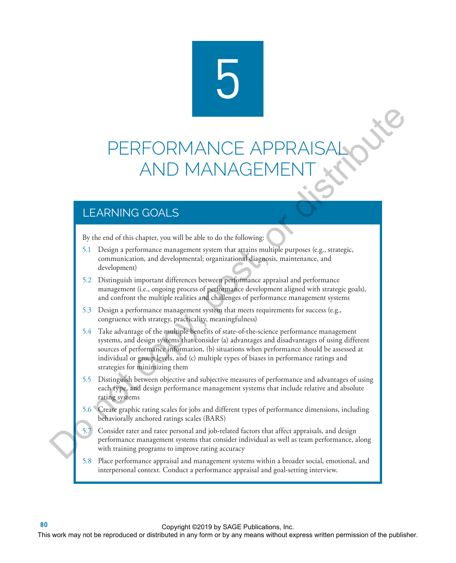

# PERFORMANCE AP AND MANAG

## LEARNING GOALS

**80**

By the end of this chapter, you will be able to do the following:

- 5.1 Design a performance management system that attains multiple purposes (e.g., strategic, communication, and developmental; organizational diagnosis, maintenance, and development)
- 5.2 Distinguish important differences between performance appraisal and performance management (i.e., ongoing process of performance development aligned with strategic goals), and confront the multiple realities and challenges of performance management systems
- 5.3 Design a performance management system that meets requirements for success (e.g., congruence with strategy, practicality, meaningfulness)
- 5.4 Take advantage of the multiple benefits of state-of-the-science performance management systems, and design systems that consider (a) advantages and disadvantages of using different sources of performance information, (b) situations when performance should be assessed at individual or group levels, and (c) multiple types of biases in performance ratings and strategies for minimizing them The representation of the reproduced or distributed in any form or between the publishers. This was not be reproduced in any form or between the publishers with a state of the publishers with a state of the publishers with
	- 5.5 Distinguish between objective and subjective measures of performance and advantages of using each type, and design performance management systems that include relative and absolute rating systems
	- 5.6 Create graphic rating scales for jobs and different types of performance dimensions, including behaviorally anchored ratings scales (BARS)
		- Consider rater and ratee personal and job-related factors that affect appraisals, and design performance management systems that consider individual as well as team performance, along with training programs to improve rating accuracy
	- 5.8 Place performance appraisal and management systems within a broader social, emotional, and interpersonal context. Conduct a performance appraisal and goal-setting interview.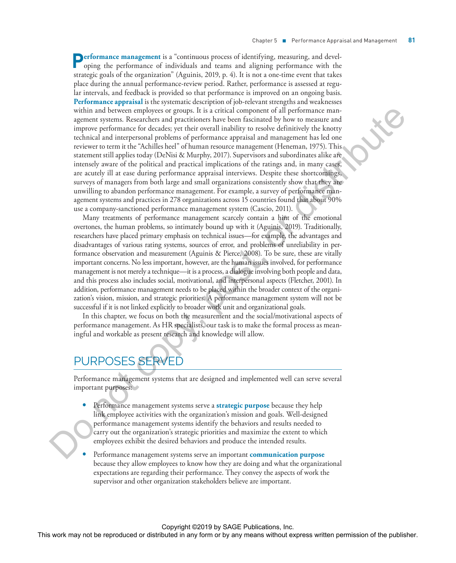**Performance management** is a "continuous process of identifying, measuring, and developing the performance of individuals and teams and aligning performance with the strategic goals of the organization" (Aguinis, 2019, p. 4). It is not a one-time event that takes place during the annual performance-review period. Rather, performance is assessed at regular intervals, and feedback is provided so that performance is improved on an ongoing basis. **Performance appraisal** is the systematic description of job-relevant strengths and weaknesses within and between employees or groups. It is a critical component of all performance management systems. Researchers and practitioners have been fascinated by how to measure and improve performance for decades; yet their overall inability to resolve definitively the knotty technical and interpersonal problems of performance appraisal and management has led one reviewer to term it the "Achilles heel" of human resource management (Heneman, 1975). This statement still applies today (DeNisi & Murphy, 2017). Supervisors and subordinates alike are intensely aware of the political and practical implications of the ratings and, in many cases, are acutely ill at ease during performance appraisal interviews. Despite these shortcomings, surveys of managers from both large and small organizations consistently show that they are unwilling to abandon performance management. For example, a survey of performance management systems and practices in 278 organizations across 15 countries found that about 90% use a company-sanctioned performance management system (Cascio, 2011). within and becomes or goodware, and produced of the priorites or distributed in any form or any means with the component or distributed in any means which the latter the publisher of the publisher of the publisher of the

Many treatments of performance management scarcely contain a hint of the emotional overtones, the human problems, so intimately bound up with it (Aguinis, 2019). Traditionally, researchers have placed primary emphasis on technical issues—for example, the advantages and disadvantages of various rating systems, sources of error, and problems of unreliability in performance observation and measurement (Aguinis & Pierce, 2008). To be sure, these are vitally important concerns. No less important, however, are the human issues involved, for performance management is not merely a technique—it is a process, a dialogue involving both people and data, and this process also includes social, motivational, and interpersonal aspects (Fletcher, 2001). In addition, performance management needs to be placed within the broader context of the organization's vision, mission, and strategic priorities. A performance management system will not be successful if it is not linked explicitly to broader work unit and organizational goals.

In this chapter, we focus on both the measurement and the social/motivational aspects of performance management. As HR specialists, our task is to make the formal process as meaningful and workable as present research and knowledge will allow.

## PURPOSES SERVED

Performance management systems that are designed and implemented well can serve several important purposes:

- Performance management systems serve a **strategic purpose** because they help link employee activities with the organization's mission and goals. Well-designed performance management systems identify the behaviors and results needed to carry out the organization's strategic priorities and maximize the extent to which employees exhibit the desired behaviors and produce the intended results.
- Performance management systems serve an important **communication purpose** because they allow employees to know how they are doing and what the organizational expectations are regarding their performance. They convey the aspects of work the supervisor and other organization stakeholders believe are important.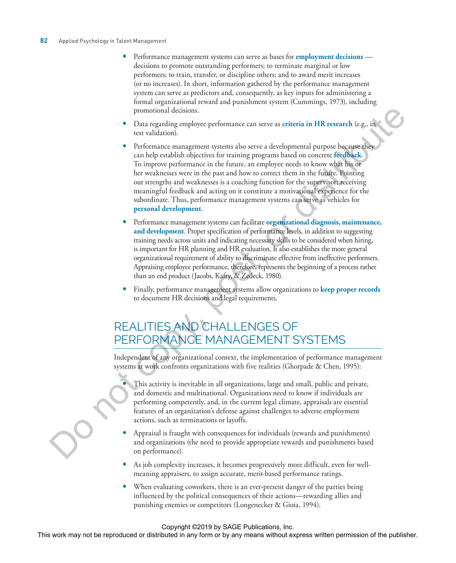- Performance management systems can serve as bases for **employment decisions**  decisions to promote outstanding performers; to terminate marginal or low performers; to train, transfer, or discipline others; and to award merit increases (or no increases). In short, information gathered by the performance management system can serve as predictors and, consequently, as key inputs for administering a formal organizational reward and punishment system (Cummings, 1973), including promotional decisions.
- Data regarding employee performance can serve as **criteria in HR research** (e.g., in test validation).
- Performance management systems also serve a developmental purpose because they can help establish objectives for training programs based on concrete **feedback**. To improve performance in the future, an employee needs to know what his or her weaknesses were in the past and how to correct them in the future. Pointing out strengths and weaknesses is a coaching function for the supervisor; receiving meaningful feedback and acting on it constitute a motivational experience for the subordinate. Thus, performance management systems can serve as vehicles for **personal development**. Frame in the representation of the representation of the results and the results of the results of the results of the results of the results of the publishers of the publishers of the publishers of the publishers of the
	- Performance management systems can facilitate **organizational diagnosis, maintenance, and development**. Proper specification of performance levels, in addition to suggesting training needs across units and indicating necessary skills to be considered when hiring, is important for HR planning and HR evaluation. It also establishes the more general organizational requirement of ability to discriminate effective from ineffective performers. Appraising employee performance, therefore, represents the beginning of a process rather than an end product (Jacobs, Kafry, & Zedeck, 1980).
	- Finally, performance management systems allow organizations to **keep proper records** to document HR decisions and legal requirements.

# REALITIES AND CHALLENGES OF PERFORMANCE MANAGEMENT SYSTEMS

Independent of any organizational context, the implementation of performance management systems at work confronts organizations with five realities (Ghorpade & Chen, 1995):

- This activity is inevitable in all organizations, large and small, public and private, and domestic and multinational. Organizations need to know if individuals are performing competently, and, in the current legal climate, appraisals are essential features of an organization's defense against challenges to adverse employment actions, such as terminations or layoffs.
- Appraisal is fraught with consequences for individuals (rewards and punishments) and organizations (the need to provide appropriate rewards and punishments based on performance).
- As job complexity increases, it becomes progressively more difficult, even for wellmeaning appraisers, to assign accurate, merit-based performance ratings.
- When evaluating coworkers, there is an ever-present danger of the parties being influenced by the political consequences of their actions—rewarding allies and punishing enemies or competitors (Longenecker & Gioia, 1994).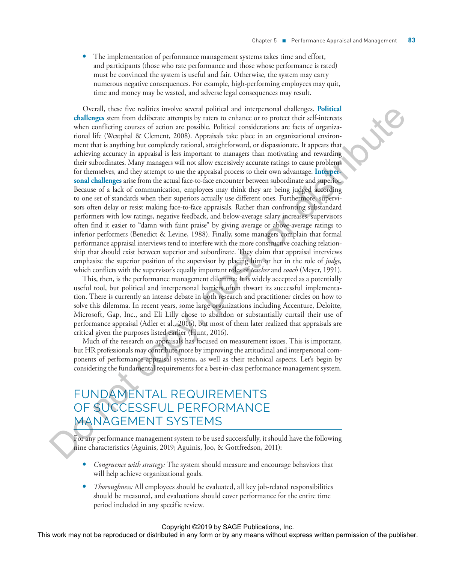The implementation of performance management systems takes time and effort, and participants (those who rate performance and those whose performance is rated) must be convinced the system is useful and fair. Otherwise, the system may carry numerous negative consequences. For example, high-performing employees may quit, time and money may be wasted, and adverse legal consequences may result.

Overall, these five realities involve several political and interpersonal challenges. **Political challenges** stem from deliberate attempts by raters to enhance or to protect their self-interests when conflicting courses of action are possible. Political considerations are facts of organizational life (Westphal & Clement, 2008). Appraisals take place in an organizational environment that is anything but completely rational, straightforward, or dispassionate. It appears that achieving accuracy in appraisal is less important to managers than motivating and rewarding their subordinates. Many managers will not allow excessively accurate ratings to cause problems for themselves, and they attempt to use the appraisal process to their own advantage. **Interpersonal challenges** arise from the actual face-to-face encounter between subordinate and superior. Because of a lack of communication, employees may think they are being judged according to one set of standards when their superiors actually use different ones. Furthermore, supervisors often delay or resist making face-to-face appraisals. Rather than confronting substandard performers with low ratings, negative feedback, and below-average salary increases, supervisors often find it easier to "damn with faint praise" by giving average or above-average ratings to inferior performers (Benedict & Levine, 1988). Finally, some managers complain that formal performance appraisal interviews tend to interfere with the more constructive coaching relationship that should exist between superior and subordinate. They claim that appraisal interviews emphasize the superior position of the supervisor by placing him or her in the role of *judge,* which conflicts with the supervisor's equally important roles of *teacher* and *coach* (Meyer, 1991). Overlay the repression of the repression of the repression of the rest in any formula in any formula in any formula in any formula in a simple state of the rest in a simple state of the rest in a simple state of the publi

This, then, is the performance management dilemma: It is widely accepted as a potentially useful tool, but political and interpersonal barriers often thwart its successful implementation. There is currently an intense debate in both research and practitioner circles on how to solve this dilemma. In recent years, some large organizations including Accenture, Deloitte, Microsoft, Gap, Inc., and Eli Lilly chose to abandon or substantially curtail their use of performance appraisal (Adler et al., 2016), but most of them later realized that appraisals are critical given the purposes listed earlier (Hunt, 2016).

Much of the research on appraisals has focused on measurement issues. This is important, but HR professionals may contribute more by improving the attitudinal and interpersonal components of performance appraisal systems, as well as their technical aspects. Let's begin by considering the fundamental requirements for a best-in-class performance management system.

## FUNDAMENTAL REQUIREMENTS OF SUCCESSFUL PERFORMANCE MANAGEMENT SYSTEMS

For any performance management system to be used successfully, it should have the following nine characteristics (Aguinis, 2019; Aguinis, Joo, & Gottfredson, 2011):

- *Congruence with strategy:* The system should measure and encourage behaviors that will help achieve organizational goals.
- *Thoroughness:* All employees should be evaluated, all key job-related responsibilities should be measured, and evaluations should cover performance for the entire time period included in any specific review.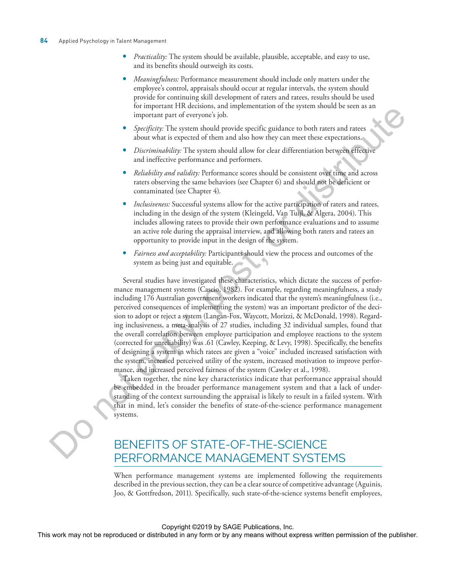- *Practicality:* The system should be available, plausible, acceptable, and easy to use, and its benefits should outweigh its costs.
- *Meaningfulness:* Performance measurement should include only matters under the employee's control, appraisals should occur at regular intervals, the system should provide for continuing skill development of raters and ratees, results should be used for important HR decisions, and implementation of the system should be seen as an important part of everyone's job.
- *Specificity:* The system should provide specific guidance to both raters and ratees about what is expected of them and also how they can meet these expectations.
- *Discriminability:* The system should allow for clear differentiation between effective and ineffective performance and performers.
- *Reliability and validity:* Performance scores should be consistent over time and across raters observing the same behaviors (see Chapter 6) and should not be deficient or contaminated (see Chapter 4).
- *Inclusiveness:* Successful systems allow for the active participation of raters and ratees, including in the design of the system (Kleingeld, Van Tuijl, & Algera, 2004). This includes allowing ratees to provide their own performance evaluations and to assume an active role during the appraisal interview, and allowing both raters and ratees an opportunity to provide input in the design of the system.
- *Fairness and acceptability:* Participants should view the process and outcomes of the system as being just and equitable.

Several studies have investigated these characteristics, which dictate the success of performance management systems (Cascio, 1982). For example, regarding meaningfulness, a study including 176 Australian government workers indicated that the system's meaningfulness (i.e., perceived consequences of implementing the system) was an important predictor of the decision to adopt or reject a system (Langan-Fox, Waycott, Morizzi, & McDonald, 1998). Regarding inclusiveness, a meta-analysis of 27 studies, including 32 individual samples, found that the overall correlation between employee participation and employee reactions to the system (corrected for unreliability) was .61 (Cawley, Keeping, & Levy, 1998). Specifically, the benefits of designing a system in which ratees are given a "voice" included increased satisfaction with the system, increased perceived utility of the system, increased motivation to improve performance, and increased perceived fairness of the system (Cawley et al., 1998). The repression or the reproduced or distributed or distributed or distributed or distributed or distributed or distributed in any means with an express with the publisher. The publisher or distributed in any form of the p

Taken together, the nine key characteristics indicate that performance appraisal should be embedded in the broader performance management system and that a lack of understanding of the context surrounding the appraisal is likely to result in a failed system. With that in mind, let's consider the benefits of state-of-the-science performance management systems.

## BENEFITS OF STATE-OF-THE-SCIENCE PERFORMANCE MANAGEMENT SYSTEMS

When performance management systems are implemented following the requirements described in the previous section, they can be a clear source of competitive advantage (Aguinis, Joo, & Gottfredson, 2011). Specifically, such state-of-the-science systems benefit employees,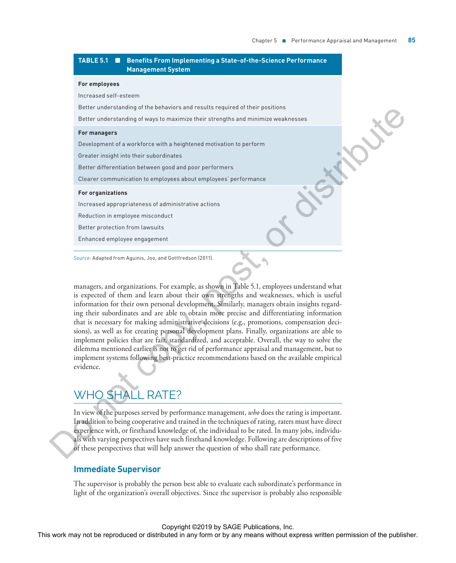### **TABLE 5.1** ■ **Benefits From Implementing a State-of-the-Science Performance Management System**

#### **For employees**

Increased self-esteem

Better understanding of the behaviors and results required of their positions

Better understanding of ways to maximize their strengths and minimize weaknesses

#### **For managers**

Development of a workforce with a heightened motivation to perform

Greater insight into their subordinates

Better differentiation between good and poor performers

Clearer communication to employees about employees' performance

#### **For organizations**

Increased appropriateness of administrative actions

Reduction in employee misconduct

Better protection from lawsuits

Enhanced employee engagement

*Source:* Adapted from Aguinis, Joo, and Gottfredson (2011).

managers, and organizations. For example, as shown in Table 5.1, employees understand what is expected of them and learn about their own strengths and weaknesses, which is useful information for their own personal development. Similarly, managers obtain insights regarding their subordinates and are able to obtain more precise and differentiating information that is necessary for making administrative decisions (e.g., promotions, compensation decisions), as well as for creating personal development plans. Finally, organizations are able to implement policies that are fair, standardized, and acceptable. Overall, the way to solve the dilemma mentioned earlier is not to get rid of performance appraisal and management, but to implement systems following best-practice recommendations based on the available empirical evidence. For the collection of the representation of the representation or between the publishers with a response to the representation or be representation of the rest of the rest of the publishers with a response or between permi

## WHO SHALL RATE?

In view of the purposes served by performance management, *who* does the rating is important. In addition to being cooperative and trained in the techniques of rating, raters must have direct experience with, or firsthand knowledge of, the individual to be rated. In many jobs, individuals with varying perspectives have such firsthand knowledge. Following are descriptions of five of these perspectives that will help answer the question of who shall rate performance.

## **Immediate Supervisor**

The supervisor is probably the person best able to evaluate each subordinate's performance in light of the organization's overall objectives. Since the supervisor is probably also responsible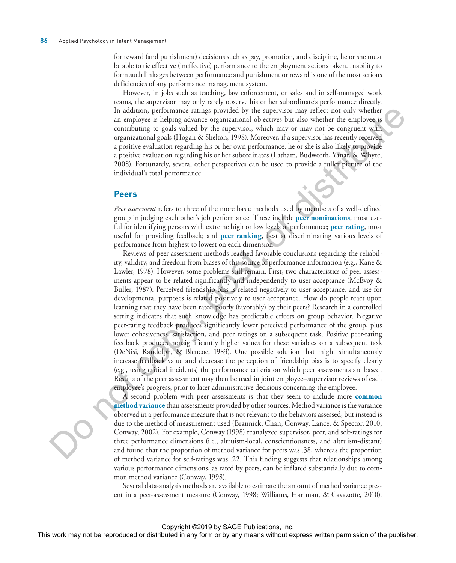for reward (and punishment) decisions such as pay, promotion, and discipline, he or she must be able to tie effective (ineffective) performance to the employment actions taken. Inability to form such linkages between performance and punishment or reward is one of the most serious deficiencies of any performance management system.

However, in jobs such as teaching, law enforcement, or sales and in self-managed work teams, the supervisor may only rarely observe his or her subordinate's performance directly. In addition, performance ratings provided by the supervisor may reflect not only whether an employee is helping advance organizational objectives but also whether the employee is contributing to goals valued by the supervisor, which may or may not be congruent with organizational goals (Hogan & Shelton, 1998). Moreover, if a supervisor has recently received a positive evaluation regarding his or her own performance, he or she is also likely to provide a positive evaluation regarding his or her subordinates (Latham, Budworth, Yanar, & Whyte, 2008). Fortunately, several other perspectives can be used to provide a fuller picture of the individual's total performance.

### **Peers**

*Peer assessment* refers to three of the more basic methods used by members of a well-defined group in judging each other's job performance. These include **peer nominations**, most useful for identifying persons with extreme high or low levels of performance; **peer rating**, most useful for providing feedback; and **peer ranking**, best at discriminating various levels of performance from highest to lowest on each dimension.

Reviews of peer assessment methods reached favorable conclusions regarding the reliability, validity, and freedom from biases of this source of performance information (e.g., Kane & Lawler, 1978). However, some problems still remain. First, two characteristics of peer assessments appear to be related significantly and independently to user acceptance (McEvoy & Buller, 1987). Perceived friendship bias is related negatively to user acceptance, and use for developmental purposes is related positively to user acceptance. How do people react upon learning that they have been rated poorly (favorably) by their peers? Research in a controlled setting indicates that such knowledge has predictable effects on group behavior. Negative peer-rating feedback produces significantly lower perceived performance of the group, plus lower cohesiveness, satisfaction, and peer ratings on a subsequent task. Positive peer-rating feedback produces nonsignificantly higher values for these variables on a subsequent task (DeNisi, Randolph, & Blencoe, 1983). One possible solution that might simultaneously increase feedback value and decrease the perception of friendship bias is to specify clearly (e.g., using critical incidents) the performance criteria on which peer assessments are based. Results of the peer assessment may then be used in joint employee–supervisor reviews of each employee's progress, prior to later administrative decisions concerning the employee. In a delition, profession contributed in the represented or the representation of the representation or distributed in any means we are the publisher and the express with the publisher. This of the publisher and the publi

A second problem with peer assessments is that they seem to include more **common method variance** than assessments provided by other sources. Method variance is the variance observed in a performance measure that is not relevant to the behaviors assessed, but instead is due to the method of measurement used (Brannick, Chan, Conway, Lance, & Spector, 2010; Conway, 2002). For example, Conway (1998) reanalyzed supervisor, peer, and self-ratings for three performance dimensions (i.e., altruism-local, conscientiousness, and altruism-distant) and found that the proportion of method variance for peers was .38, whereas the proportion of method variance for self-ratings was .22. This finding suggests that relationships among various performance dimensions, as rated by peers, can be inflated substantially due to common method variance (Conway, 1998).

Several data-analysis methods are available to estimate the amount of method variance present in a peer-assessment measure (Conway, 1998; Williams, Hartman, & Cavazotte, 2010).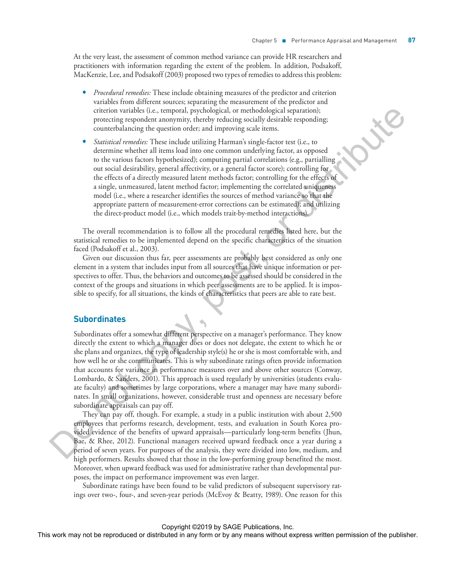At the very least, the assessment of common method variance can provide HR researchers and practitioners with information regarding the extent of the problem. In addition, Podsakoff, MacKenzie, Lee, and Podsakoff (2003) proposed two types of remedies to address this problem:

- *Procedural remedies:* These include obtaining measures of the predictor and criterion variables from different sources; separating the measurement of the predictor and criterion variables (i.e., temporal, psychological, or methodological separation); protecting respondent anonymity, thereby reducing socially desirable responding; counterbalancing the question order; and improving scale items.
- *Statistical remedies:* These include utilizing Harman's single-factor test (i.e., to determine whether all items load into one common underlying factor, as opposed to the various factors hypothesized); computing partial correlations (e.g., partialling out social desirability, general affectivity, or a general factor score); controlling for the effects of a directly measured latent methods factor; controlling for the effects of a single, unmeasured, latent method factor; implementing the correlated uniqueness model (i.e., where a researcher identifies the sources of method variance so that the appropriate pattern of measurement-error corrections can be estimated); and utilizing the direct-product model (i.e., which models trait-by-method interactions).

The overall recommendation is to follow all the procedural remedies listed here, but the statistical remedies to be implemented depend on the specific characteristics of the situation faced (Podsakoff et al., 2003).

Given our discussion thus far, peer assessments are probably best considered as only one element in a system that includes input from all sources that have unique information or perspectives to offer. Thus, the behaviors and outcomes to be assessed should be considered in the context of the groups and situations in which peer assessments are to be applied. It is impossible to specify, for all situations, the kinds of characteristics that peers are able to rate best.

## **Subordinates**

Subordinates offer a somewhat different perspective on a manager's performance. They know directly the extent to which a manager does or does not delegate, the extent to which he or she plans and organizes, the type of leadership style(s) he or she is most comfortable with, and how well he or she communicates. This is why subordinate ratings often provide information that accounts for variance in performance measures over and above other sources (Conway, Lombardo, & Sanders, 2001). This approach is used regularly by universities (students evaluate faculty) and sometimes by large corporations, where a manager may have many subordinates. In small organizations, however, considerable trust and openness are necessary before subordinate appraisals can pay off. Control or the results of the reproduced or distributed or distributed in any measure of the representation or the representation or the results of the results of the results of the results of the results of the results o

They can pay off, though. For example, a study in a public institution with about 2,500 employees that performs research, development, tests, and evaluation in South Korea provided evidence of the benefits of upward appraisals—particularly long-term benefits (Jhun, Bae, & Rhee, 2012). Functional managers received upward feedback once a year during a period of seven years. For purposes of the analysis, they were divided into low, medium, and high performers. Results showed that those in the low-performing group benefited the most. Moreover, when upward feedback was used for administrative rather than developmental purposes, the impact on performance improvement was even larger.

Subordinate ratings have been found to be valid predictors of subsequent supervisory ratings over two-, four-, and seven-year periods (McEvoy & Beatty, 1989). One reason for this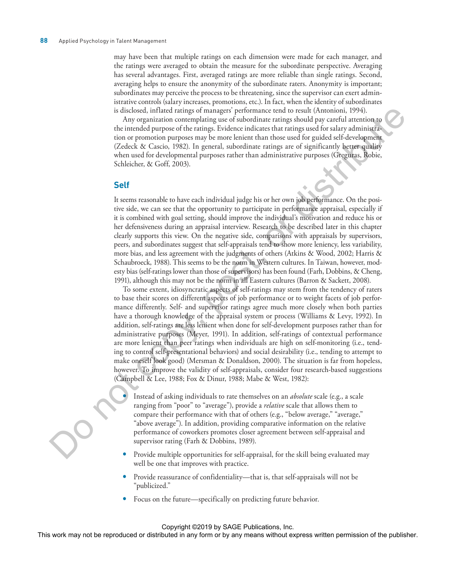may have been that multiple ratings on each dimension were made for each manager, and the ratings were averaged to obtain the measure for the subordinate perspective. Averaging has several advantages. First, averaged ratings are more reliable than single ratings. Second, averaging helps to ensure the anonymity of the subordinate raters. Anonymity is important; subordinates may perceive the process to be threatening, since the supervisor can exert administrative controls (salary increases, promotions, etc.). In fact, when the identity of subordinates is disclosed, inflated ratings of managers' performance tend to result (Antonioni, 1994).

Any organization contemplating use of subordinate ratings should pay careful attention to the intended purpose of the ratings. Evidence indicates that ratings used for salary administration or promotion purposes may be more lenient than those used for guided self-development (Zedeck & Cascio, 1982). In general, subordinate ratings are of significantly better quality when used for developmental purposes rather than administrative purposes (Greguras, Robie, Schleicher, & Goff, 2003).

## **Self**

It seems reasonable to have each individual judge his or her own job performance. On the positive side, we can see that the opportunity to participate in performance appraisal, especially if it is combined with goal setting, should improve the individual's motivation and reduce his or her defensiveness during an appraisal interview. Research to be described later in this chapter clearly supports this view. On the negative side, comparisons with appraisals by supervisors, peers, and subordinates suggest that self-appraisals tend to show more leniency, less variability, more bias, and less agreement with the judgments of others (Atkins & Wood, 2002; Harris & Schaubroeck, 1988). This seems to be the norm in Western cultures. In Taiwan, however, modesty bias (self-ratings lower than those of supervisors) has been found (Farh, Dobbins, & Cheng, 1991), although this may not be the norm in all Eastern cultures (Barron & Sackett, 2008).

To some extent, idiosyncratic aspects of self-ratings may stem from the tendency of raters to base their scores on different aspects of job performance or to weight facets of job performance differently. Self- and supervisor ratings agree much more closely when both parties have a thorough knowledge of the appraisal system or process (Williams & Levy, 1992). In addition, self-ratings are less lenient when done for self-development purposes rather than for administrative purposes (Meyer, 1991). In addition, self-ratings of contextual performance are more lenient than peer ratings when individuals are high on self-monitoring (i.e., tending to control self-presentational behaviors) and social desirability (i.e., tending to attempt to make oneself look good) (Mersman & Donaldson, 2000). The situation is far from hopeless, however. To improve the validity of self-appraisals, consider four research-based suggestions (Campbell & Lee, 1988; Fox & Dinur, 1988; Mabe & West, 1982): In distributed interaction of the reproduced permission control (Antonio). The reproduced interaction of the calibration of the reproduced interaction of the publisher or by any form or by any means we could be reproduced

 Instead of asking individuals to rate themselves on an *absolute* scale (e.g., a scale ranging from "poor" to "average"), provide a *relative* scale that allows them to compare their performance with that of others (e.g., "below average," "average," "above average"). In addition, providing comparative information on the relative performance of coworkers promotes closer agreement between self-appraisal and supervisor rating (Farh & Dobbins, 1989).

- Provide multiple opportunities for self-appraisal, for the skill being evaluated may well be one that improves with practice.
- Provide reassurance of confidentiality—that is, that self-appraisals will not be "publicized."
- Focus on the future—specifically on predicting future behavior.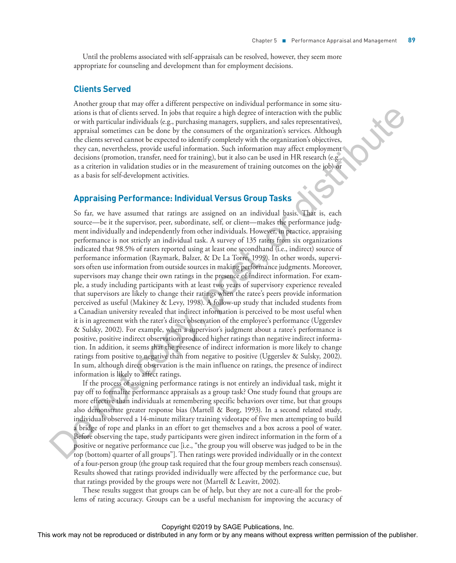Until the problems associated with self-appraisals can be resolved, however, they seem more appropriate for counseling and development than for employment decisions.

## **Clients Served**

Another group that may offer a different perspective on individual performance in some situations is that of clients served. In jobs that require a high degree of interaction with the public or with particular individuals (e.g., purchasing managers, suppliers, and sales representatives), appraisal sometimes can be done by the consumers of the organization's services. Although the clients served cannot be expected to identify completely with the organization's objectives, they can, nevertheless, provide useful information. Such information may affect employment decisions (promotion, transfer, need for training), but it also can be used in HR research (e.g., as a criterion in validation studies or in the measurement of training outcomes on the job) or as a basis for self-development activities.

## **Appraising Performance: Individual Versus Group Tasks**

So far, we have assumed that ratings are assigned on an individual basis. That is, each source—be it the supervisor, peer, subordinate, self, or client—makes the performance judgment individually and independently from other individuals. However, in practice, appraising performance is not strictly an individual task. A survey of 135 raters from six organizations indicated that 98.5% of raters reported using at least one secondhand (i.e., indirect) source of performance information (Raymark, Balzer, & De La Torre, 1999). In other words, supervisors often use information from outside sources in making performance judgments. Moreover, supervisors may change their own ratings in the presence of indirect information. For example, a study including participants with at least two years of supervisory experience revealed that supervisors are likely to change their ratings when the ratee's peers provide information perceived as useful (Makiney & Levy, 1998). A follow-up study that included students from a Canadian university revealed that indirect information is perceived to be most useful when it is in agreement with the rater's direct observation of the employee's performance (Uggerslev & Sulsky, 2002). For example, when a supervisor's judgment about a ratee's performance is positive, positive indirect observation produced higher ratings than negative indirect information. In addition, it seems that the presence of indirect information is more likely to change ratings from positive to negative than from negative to positive (Uggerslev & Sulsky, 2002). In sum, although direct observation is the main influence on ratings, the presence of indirect information is likely to affect ratings. stories work may not be represented to the representation of the publisher of the publisher or distributed in any form or by any means with the publisher any of the computer system. Although the column of the computer sys

If the process of assigning performance ratings is not entirely an individual task, might it pay off to formalize performance appraisals as a group task? One study found that groups are more effective than individuals at remembering specific behaviors over time, but that groups also demonstrate greater response bias (Martell & Borg, 1993). In a second related study, individuals observed a 14-minute military training videotape of five men attempting to build a bridge of rope and planks in an effort to get themselves and a box across a pool of water. Before observing the tape, study participants were given indirect information in the form of a positive or negative performance cue [i.e., "the group you will observe was judged to be in the top (bottom) quarter of all groups"]. Then ratings were provided individually or in the context of a four-person group (the group task required that the four group members reach consensus). Results showed that ratings provided individually were affected by the performance cue, but that ratings provided by the groups were not (Martell & Leavitt, 2002).

These results suggest that groups can be of help, but they are not a cure-all for the problems of rating accuracy. Groups can be a useful mechanism for improving the accuracy of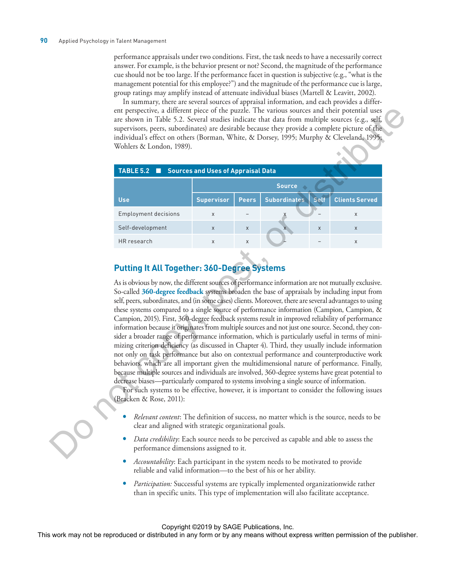performance appraisals under two conditions. First, the task needs to have a necessarily correct answer. For example, is the behavior present or not? Second, the magnitude of the performance cue should not be too large. If the performance facet in question is subjective (e.g., "what is the management potential for this employee?") and the magnitude of the performance cue is large, group ratings may amplify instead of attenuate individual biases (Martell & Leavitt, 2002).

In summary, there are several sources of appraisal information, and each provides a different perspective, a different piece of the puzzle. The various sources and their potential uses are shown in Table 5.2. Several studies indicate that data from multiple sources (e.g., self, supervisors, peers, subordinates) are desirable because they provide a complete picture of the individual's effect on others (Borman, White, & Dorsey, 1995; Murphy & Cleveland, 1995; Wohlers & London, 1989).

| TABLE 5.2 Sources and Uses of Appraisal Data |                   |              |                     |              |                       |
|----------------------------------------------|-------------------|--------------|---------------------|--------------|-----------------------|
|                                              |                   |              | <b>Source</b>       |              |                       |
| <b>Use</b>                                   | <b>Supervisor</b> | <b>Peers</b> | <b>Subordinates</b> | <b>Self</b>  | <b>Clients Served</b> |
| <b>Employment decisions</b>                  | X                 |              |                     |              | X                     |
| Self-development                             | X                 | $\times$     |                     | $\mathsf{X}$ | X                     |
| HR research                                  | X                 | X            |                     |              | X                     |
|                                              |                   | Alberta Co   |                     |              |                       |

## **Putting It All Together: 360-Degree Systems**

As is obvious by now, the different sources of performance information are not mutually exclusive. So-called **360-degree feedback** systems broaden the base of appraisals by including input from self, peers, subordinates, and (in some cases) clients. Moreover, there are several advantages to using these systems compared to a single source of performance information (Campion, Campion, & Campion, 2015). First, 360-degree feedback systems result in improved reliability of performance information because it originates from multiple sources and not just one source. Second, they consider a broader range of performance information, which is particularly useful in terms of minimizing criterion deficiency (as discussed in Chapter 4). Third, they usually include information not only on task performance but also on contextual performance and counterproductive work behaviors, which are all important given the multidimensional nature of performance. Finally, because multiple sources and individuals are involved, 360-degree systems have great potential to decrease biases—particularly compared to systems involving a single source of information. or properties or different person of the publishering in any positive distributed in any means with person of the publishering and distributed in any form of the publishering the statistic between the publishering and sta

For such systems to be effective, however, it is important to consider the following issues (Bracken & Rose, 2011):

- *Relevant content*: The definition of success, no matter which is the source, needs to be clear and aligned with strategic organizational goals.
- *Data credibility*: Each source needs to be perceived as capable and able to assess the performance dimensions assigned to it.
- *Accountability*: Each participant in the system needs to be motivated to provide reliable and valid information—to the best of his or her ability.
- *Participation:* Successful systems are typically implemented organizationwide rather than in specific units. This type of implementation will also facilitate acceptance.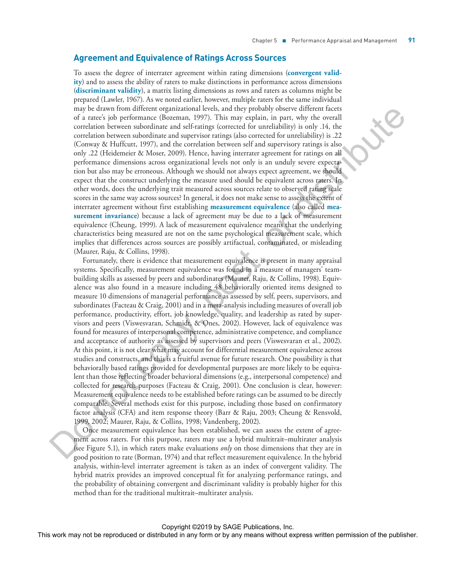## **Agreement and Equivalence of Ratings Across Sources**

To assess the degree of interrater agreement within rating dimensions (**convergent validity**) and to assess the ability of raters to make distinctions in performance across dimensions (**discriminant validity**), a matrix listing dimensions as rows and raters as columns might be prepared (Lawler, 1967). As we noted earlier, however, multiple raters for the same individual may be drawn from different organizational levels, and they probably observe different facets of a ratee's job performance (Bozeman, 1997). This may explain, in part, why the overall correlation between subordinate and self-ratings (corrected for unreliability) is only .14, the correlation between subordinate and supervisor ratings (also corrected for unreliability) is .22 (Conway & Huffcutt, 1997), and the correlation between self and supervisory ratings is also only .22 (Heidemeier & Moser, 2009). Hence, having interrater agreement for ratings on all performance dimensions across organizational levels not only is an unduly severe expectation but also may be erroneous. Although we should not always expect agreement, we should expect that the construct underlying the measure used should be equivalent across raters. In other words, does the underlying trait measured across sources relate to observed rating scale scores in the same way across sources? In general, it does not make sense to assess the extent of interrater agreement without first establishing **measurement equivalence** (also called **measurement invariance**) because a lack of agreement may be due to a lack of measurement equivalence (Cheung, 1999). A lack of measurement equivalence means that the underlying characteristics being measured are not on the same psychological measurement scale, which implies that differences across sources are possibly artifactual, contaminated, or misleading (Maurer, Raju, & Collins, 1998).

Fortunately, there is evidence that measurement equivalence is present in many appraisal systems. Specifically, measurement equivalence was found in a measure of managers' teambuilding skills as assessed by peers and subordinates (Maurer, Raju, & Collins, 1998). Equivalence was also found in a measure including 48 behaviorally oriented items designed to measure 10 dimensions of managerial performance as assessed by self, peers, supervisors, and subordinates (Facteau & Craig, 2001) and in a meta-analysis including measures of overall job performance, productivity, effort, job knowledge, quality, and leadership as rated by supervisors and peers (Viswesvaran, Schmidt, & Ones, 2002). However, lack of equivalence was found for measures of interpersonal competence, administrative competence, and compliance and acceptance of authority as assessed by supervisors and peers (Viswesvaran et al., 2002). At this point, it is not clear what may account for differential measurement equivalence across studies and constructs, and this is a fruitful avenue for future research. One possibility is that behaviorally based ratings provided for developmental purposes are more likely to be equivalent than those reflecting broader behavioral dimensions (e.g., interpersonal competence) and collected for research purposes (Facteau & Craig, 2001). One conclusion is clear, however: Measurement equivalence needs to be established before ratings can be assumed to be directly comparable. Several methods exist for this purpose, including those based on confirmatory factor analysis (CFA) and item response theory (Barr & Raju, 2003; Cheung & Rensvold, 1999, 2002; Maurer, Raju, & Collins, 1998; Vandenberg, 2002). may in either any total permission or distributed in any field in any means with the reproduced or distributed in any form or by any means with the publisher in any form or by a 2 (Finderheit is a November 100, the main of

Once measurement equivalence has been established, we can assess the extent of agreement across raters. For this purpose, raters may use a hybrid multitrait–multirater analysis (see Figure 5.1), in which raters make evaluations *only* on those dimensions that they are in good position to rate (Borman, 1974) and that reflect measurement equivalence. In the hybrid analysis, within-level interrater agreement is taken as an index of convergent validity. The hybrid matrix provides an improved conceptual fit for analyzing performance ratings, and the probability of obtaining convergent and discriminant validity is probably higher for this method than for the traditional multitrait–multirater analysis.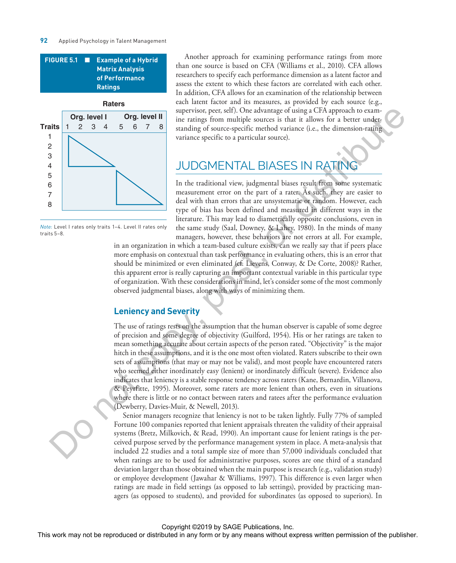

Another approach for examining performance ratings from more than one source is based on CFA (Williams et al., 2010). CFA allows researchers to specify each performance dimension as a latent factor and assess the extent to which these factors are correlated with each other. In addition, CFA allows for an examination of the relationship between each latent factor and its measures, as provided by each source (e.g., supervisor, peer, self). One advantage of using a CFA approach to examine ratings from multiple sources is that it allows for a better understanding of source-specific method variance (i.e., the dimension-rating variance specific to a particular source).

## JUDGMENTAL BIASES IN RATING

*Note:* Level I rates only traits 1–4. Level II rates only traits 5–8.

In the traditional view, judgmental biases result from some systematic measurement error on the part of a rater. As such, they are easier to deal with than errors that are unsystematic or random. However, each type of bias has been defined and measured in different ways in the literature. This may lead to diametrically opposite conclusions, even in the same study (Saal, Downey, & Lahey, 1980). In the minds of many managers, however, these behaviors are not errors at all. For example,

in an organization in which a team-based culture exists, can we really say that if peers place more emphasis on contextual than task performance in evaluating others, this is an error that should be minimized or even eliminated (cf. Lievens, Conway, & De Corte, 2008)? Rather, this apparent error is really capturing an important contextual variable in this particular type of organization. With these considerations in mind, let's consider some of the most commonly observed judgmental biases, along with ways of minimizing them.

## **Leniency and Severity**

The use of ratings rests on the assumption that the human observer is capable of some degree of precision and some degree of objectivity (Guilford, 1954). His or her ratings are taken to mean something accurate about certain aspects of the person rated. "Objectivity" is the major hitch in these assumptions, and it is the one most often violated. Raters subscribe to their own sets of assumptions (that may or may not be valid), and most people have encountered raters who seemed either inordinately easy (lenient) or inordinately difficult (severe). Evidence also indicates that leniency is a stable response tendency across raters (Kane, Bernardin, Villanova, & Peyrfitte, 1995). Moreover, some raters are more lenient than others, even in situations where there is little or no contact between raters and ratees after the performance evaluation (Dewberry, Davies-Muir, & Newell, 2013).

Senior managers recognize that leniency is not to be taken lightly. Fully 77% of sampled Fortune 100 companies reported that lenient appraisals threaten the validity of their appraisal systems (Bretz, Milkovich, & Read, 1990). An important cause for lenient ratings is the perceived purpose served by the performance management system in place. A meta-analysis that included 22 studies and a total sample size of more than 57,000 individuals concluded that when ratings are to be used for administrative purposes, scores are one third of a standard deviation larger than those obtained when the main purpose is research (e.g., validation study) or employee development (Jawahar & Williams, 1997). This difference is even larger when ratings are made in field settings (as opposed to lab settings), provided by practicing managers (as opposed to students), and provided for subordinates (as opposed to superiors). In **This work may not be reproduced** by the station of the respective matched extent in angle of station or distributed in any means with the publisher computer in any means were permission of the publisher. The computer or

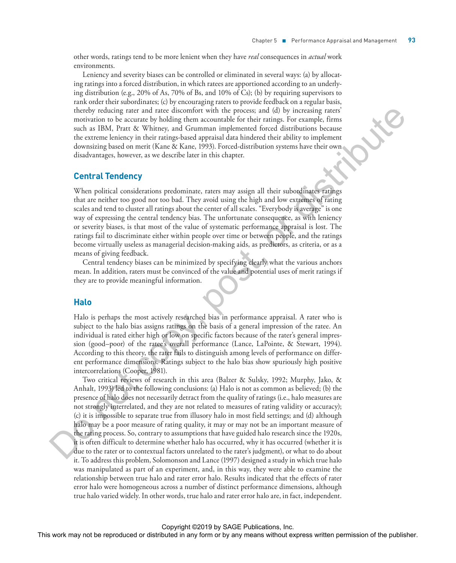other words, ratings tend to be more lenient when they have *real* consequences in *actual* work environments.

Leniency and severity biases can be controlled or eliminated in several ways: (a) by allocating ratings into a forced distribution, in which ratees are apportioned according to an underlying distribution (e.g., 20% of As, 70% of Bs, and 10% of Cs); (b) by requiring supervisors to rank order their subordinates; (c) by encouraging raters to provide feedback on a regular basis, thereby reducing rater and ratee discomfort with the process; and (d) by increasing raters' motivation to be accurate by holding them accountable for their ratings. For example, firms such as IBM, Pratt & Whitney, and Grumman implemented forced distributions because the extreme leniency in their ratings-based appraisal data hindered their ability to implement downsizing based on merit (Kane & Kane, 1993). Forced-distribution systems have their own disadvantages, however, as we describe later in this chapter.

## **Central Tendency**

When political considerations predominate, raters may assign all their subordinates ratings that are neither too good nor too bad. They avoid using the high and low extremes of rating scales and tend to cluster all ratings about the center of all scales. "Everybody is average" is one way of expressing the central tendency bias. The unfortunate consequence, as with leniency or severity biases, is that most of the value of systematic performance appraisal is lost. The ratings fail to discriminate either within people over time or between people, and the ratings become virtually useless as managerial decision-making aids, as predictors, as criteria, or as a means of giving feedback.

Central tendency biases can be minimized by specifying clearly what the various anchors mean. In addition, raters must be convinced of the value and potential uses of merit ratings if they are to provide meaningful information.

## **Halo**

Halo is perhaps the most actively researched bias in performance appraisal. A rater who is subject to the halo bias assigns ratings on the basis of a general impression of the ratee. An individual is rated either high or low on specific factors because of the rater's general impression (good–poor) of the ratee's overall performance (Lance, LaPointe, & Stewart, 1994). According to this theory, the rater fails to distinguish among levels of performance on different performance dimensions. Ratings subject to the halo bias show spuriously high positive intercorrelations (Cooper, 1981).

Two critical reviews of research in this area (Balzer & Sulsky, 1992; Murphy, Jako, & Anhalt, 1993) led to the following conclusions: (a) Halo is not as common as believed; (b) the presence of halo does not necessarily detract from the quality of ratings (i.e., halo measures are not strongly interrelated, and they are not related to measures of rating validity or accuracy); (c) it is impossible to separate true from illusory halo in most field settings; and (d) although halo may be a poor measure of rating quality, it may or may not be an important measure of the rating process. So, contrary to assumptions that have guided halo research since the 1920s, it is often difficult to determine whether halo has occurred, why it has occurred (whether it is due to the rater or to contextual factors unrelated to the rater's judgment), or what to do about it. To address this problem, Solomonson and Lance (1997) designed a study in which true halo was manipulated as part of an experiment, and, in this way, they were able to examine the relationship between true halo and rater error halo. Results indicated that the effects of rater error halo were homogeneous across a number of distinct performance dimensions, although true halo varied widely. In other words, true halo and rater error halo are, in fact, independent. thesely reduced interest down into the process and (d) by biotecomparison or bits and the publisher and the publisher and the publisher or bits with the publisher and Continues the control or the state of the state of the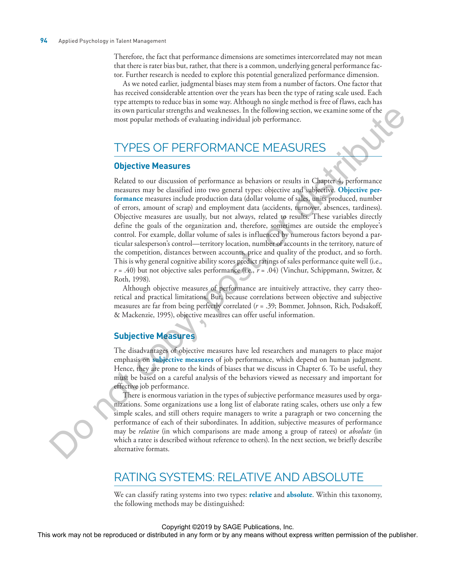Therefore, the fact that performance dimensions are sometimes intercorrelated may not mean that there is rater bias but, rather, that there is a common, underlying general performance factor. Further research is needed to explore this potential generalized performance dimension.

As we noted earlier, judgmental biases may stem from a number of factors. One factor that has received considerable attention over the years has been the type of rating scale used. Each type attempts to reduce bias in some way. Although no single method is free of flaws, each has its own particular strengths and weaknesses. In the following section, we examine some of the most popular methods of evaluating individual job performance.

## TYPES OF PERFORMANCE MEASURES

### **Objective Measures**

Related to our discussion of performance as behaviors or results in Chapter 4, performance measures may be classified into two general types: objective and subjective. **Objective performance** measures include production data (dollar volume of sales, units produced, number of errors, amount of scrap) and employment data (accidents, turnover, absences, tardiness). Objective measures are usually, but not always, related to results. These variables directly define the goals of the organization and, therefore, sometimes are outside the employee's control. For example, dollar volume of sales is influenced by numerous factors beyond a particular salesperson's control—territory location, number of accounts in the territory, nature of the competition, distances between accounts, price and quality of the product, and so forth. This is why general cognitive ability scores predict ratings of sales performance quite well (i.e., *r* = .40) but not objective sales performance (i.e., *r* = .04) (Vinchur, Schippmann, Switzer, & Roth, 1998). It is one publisher storegies and weakerster. It the following accelerate in any form or by any means with the representation or the publisher. TYPES OF PERFORMANCE MEASURES Objective Measures  $\sigma$  and the measure are be

Although objective measures of performance are intuitively attractive, they carry theoretical and practical limitations. But, because correlations between objective and subjective measures are far from being perfectly correlated ( $r = .39$ ; Bommer, Johnson, Rich, Podsakoff, & Mackenzie, 1995), objective measures can offer useful information.

## **Subjective Measures**

The disadvantages of objective measures have led researchers and managers to place major emphasis on **subjective measures** of job performance, which depend on human judgment. Hence, they are prone to the kinds of biases that we discuss in Chapter 6. To be useful, they must be based on a careful analysis of the behaviors viewed as necessary and important for effective job performance.

There is enormous variation in the types of subjective performance measures used by organizations. Some organizations use a long list of elaborate rating scales, others use only a few simple scales, and still others require managers to write a paragraph or two concerning the performance of each of their subordinates. In addition, subjective measures of performance may be *relative* (in which comparisons are made among a group of ratees) or *absolute* (in which a ratee is described without reference to others). In the next section, we briefly describe alternative formats.

## RATING SYSTEMS: RELATIVE AND ABSOLUTE

We can classify rating systems into two types: **relative** and **absolute**. Within this taxonomy, the following methods may be distinguished: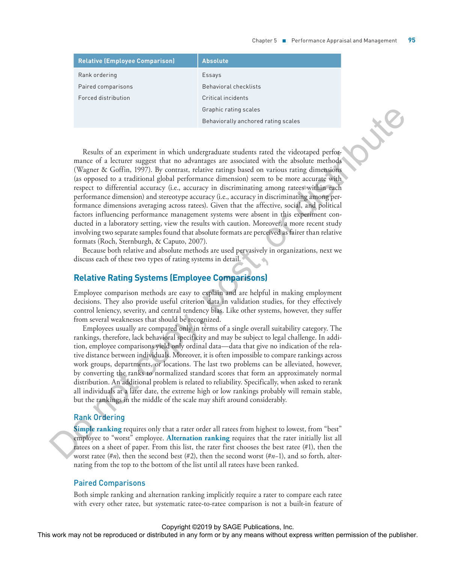| <b>Relative (Employee Comparison)</b> | <b>Absolute</b>                     |
|---------------------------------------|-------------------------------------|
| Rank ordering                         | Essays                              |
| Paired comparisons                    | Behavioral checklists               |
| Forced distribution                   | Critical incidents                  |
|                                       | Graphic rating scales               |
|                                       | Behaviorally anchored rating scales |

Results of an experiment in which undergraduate students rated the videotaped performance of a lecturer suggest that no advantages are associated with the absolute methods (Wagner & Goffin, 1997). By contrast, relative ratings based on various rating dimensions (as opposed to a traditional global performance dimension) seem to be more accurate with respect to differential accuracy (i.e., accuracy in discriminating among ratees within each performance dimension) and stereotype accuracy (i.e., accuracy in discriminating among performance dimensions averaging across ratees). Given that the affective, social, and political factors influencing performance management systems were absent in this experiment conducted in a laboratory setting, view the results with caution. Moreover, a more recent study involving two separate samples found that absolute formats are perceived as fairer than relative formats (Roch, Sternburgh, & Caputo, 2007). The experiment may not be represented or distribution or distributed in any means with the solution of the reproduced or distributed in any means we reproduced in a subsequent of the solution of the publisher. This we rep

Because both relative and absolute methods are used pervasively in organizations, next we discuss each of these two types of rating systems in detail.

## **Relative Rating Systems (Employee Comparisons)**

Employee comparison methods are easy to explain and are helpful in making employment decisions. They also provide useful criterion data in validation studies, for they effectively control leniency, severity, and central tendency bias. Like other systems, however, they suffer from several weaknesses that should be recognized.

Employees usually are compared only in terms of a single overall suitability category. The rankings, therefore, lack behavioral specificity and may be subject to legal challenge. In addition, employee comparisons yield only ordinal data—data that give no indication of the relative distance between individuals. Moreover, it is often impossible to compare rankings across work groups, departments, or locations. The last two problems can be alleviated, however, by converting the ranks to normalized standard scores that form an approximately normal distribution. An additional problem is related to reliability. Specifically, when asked to rerank all individuals at a later date, the extreme high or low rankings probably will remain stable, but the rankings in the middle of the scale may shift around considerably.

## Rank Ordering

**Simple ranking** requires only that a rater order all ratees from highest to lowest, from "best" employee to "worst" employee. **Alternation ranking** requires that the rater initially list all ratees on a sheet of paper. From this list, the rater first chooses the best ratee (#1), then the worst ratee (#*n*), then the second best (#2), then the second worst (#*n*−1), and so forth, alternating from the top to the bottom of the list until all ratees have been ranked.

## Paired Comparisons

Both simple ranking and alternation ranking implicitly require a rater to compare each ratee with every other ratee, but systematic ratee-to-ratee comparison is not a built-in feature of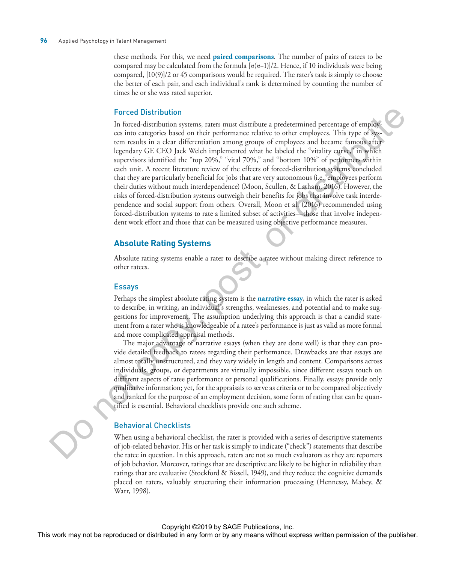these methods. For this, we need **paired comparisons**. The number of pairs of ratees to be compared may be calculated from the formula  $[n(n-1)]/2$ . Hence, if 10 individuals were being compared, [10(9)]/2 or 45 comparisons would be required. The rater's task is simply to choose the better of each pair, and each individual's rank is determined by counting the number of times he or she was rated superior.

### Forced Distribution

In forced-distribution systems, raters must distribute a predetermined percentage of employees into categories based on their performance relative to other employees. This type of system results in a clear differentiation among groups of employees and became famous after legendary GE CEO Jack Welch implemented what he labeled the "vitality curve," in which supervisors identified the "top 20%," "vital 70%," and "bottom 10%" of performers within each unit. A recent literature review of the effects of forced-distribution systems concluded that they are particularly beneficial for jobs that are very autonomous (i.e., employees perform their duties without much interdependence) (Moon, Scullen, & Latham, 2016). However, the risks of forced-distribution systems outweigh their benefits for jobs that involve task interdependence and social support from others. Overall, Moon et al. (2016) recommended using forced-distribution systems to rate a limited subset of activities—those that involve independent work effort and those that can be measured using objective performance measures. Force of the repression in the result of the results of the results of the state or the reproduced or distributions a state in the results are the relations of the relations of the relations of the relations of the relati

## **Absolute Rating Systems**

Absolute rating systems enable a rater to describe a ratee without making direct reference to other ratees.

## Essays

Perhaps the simplest absolute rating system is the **narrative essay**, in which the rater is asked to describe, in writing, an individual's strengths, weaknesses, and potential and to make suggestions for improvement. The assumption underlying this approach is that a candid statement from a rater who is knowledgeable of a ratee's performance is just as valid as more formal and more complicated appraisal methods.

The major advantage of narrative essays (when they are done well) is that they can provide detailed feedback to ratees regarding their performance. Drawbacks are that essays are almost totally unstructured, and they vary widely in length and content. Comparisons across individuals, groups, or departments are virtually impossible, since different essays touch on different aspects of ratee performance or personal qualifications. Finally, essays provide only qualitative information; yet, for the appraisals to serve as criteria or to be compared objectively and ranked for the purpose of an employment decision, some form of rating that can be quantified is essential. Behavioral checklists provide one such scheme.

## Behavioral Checklists

When using a behavioral checklist, the rater is provided with a series of descriptive statements of job-related behavior. His or her task is simply to indicate ("check") statements that describe the ratee in question. In this approach, raters are not so much evaluators as they are reporters of job behavior. Moreover, ratings that are descriptive are likely to be higher in reliability than ratings that are evaluative (Stockford & Bissell, 1949), and they reduce the cognitive demands placed on raters, valuably structuring their information processing (Hennessy, Mabey, & Warr, 1998).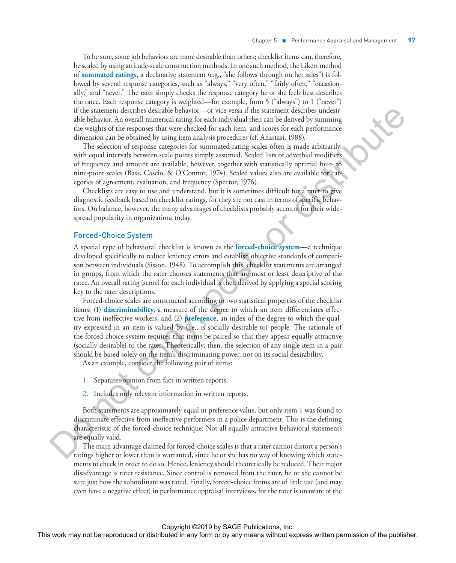To be sure, some job behaviors are more desirable than others; checklist items can, therefore, be scaled by using attitude-scale construction methods. In one such method, the Likert method of **summated ratings**, a declarative statement (e.g., "she follows through on her sales") is followed by several response categories, such as "always," "very often," "fairly often," "occasionally," and "never." The rater simply checks the response category he or she feels best describes the ratee. Each response category is weighted—for example, from 5 ("always") to 1 ("never") if the statement describes desirable behavior—or vice versa if the statement describes undesirable behavior. An overall numerical rating for each individual then can be derived by summing the weights of the responses that were checked for each item, and scores for each performance dimension can be obtained by using item analysis procedures (cf. Anastasi, 1988).

The selection of response categories for summated rating scales often is made arbitrarily, with equal intervals between scale points simply assumed. Scaled lists of adverbial modifiers of frequency and amount are available, however, together with statistically optimal four- to nine-point scales (Bass, Cascio, & O'Connor, 1974). Scaled values also are available for categories of agreement, evaluation, and frequency (Spector, 1976).

Checklists are easy to use and understand, but it is sometimes difficult for a rater to give diagnostic feedback based on checklist ratings, for they are not cast in terms of specific behaviors. On balance, however, the many advantages of checklists probably account for their widespread popularity in organizations today.

### Forced-Choice System

A special type of behavioral checklist is known as the **forced-choice system**—a technique developed specifically to reduce leniency errors and establish objective standards of comparison between individuals (Sisson, 1948). To accomplish this, checklist statements are arranged in groups, from which the rater chooses statements that are most or least descriptive of the ratee. An overall rating (score) for each individual is then derived by applying a special scoring key to the rater descriptions.

Forced-choice scales are constructed according to two statistical properties of the checklist items: (1) **discriminability**, a measure of the degree to which an item differentiates effective from ineffective workers, and (2) **preference**, an index of the degree to which the quality expressed in an item is valued by (i.e., is socially desirable to) people. The rationale of the forced-choice system requires that items be paired so that they appear equally attractive (socially desirable) to the rater. Theoretically, then, the selection of any single item in a pair should be based solely on the item's discriminating power, not on its social desirability. The assume decorial or distributed or distributed in the rest control or distributed in any control or distributed in any form or by any form or by any form or by any means the results of the publisher. The selection of pu

As an example, consider the following pair of items:

- 1. Separates opinion from fact in written reports.
- 2. Includes only relevant information in written reports.

Both statements are approximately equal in preference value, but only item 1 was found to discriminate effective from ineffective performers in a police department. This is the defining characteristic of the forced-choice technique: Not all equally attractive behavioral statements are equally valid.

The main advantage claimed for forced-choice scales is that a rater cannot distort a person's ratings higher or lower than is warranted, since he or she has no way of knowing which statements to check in order to do so. Hence, leniency should theoretically be reduced. Their major disadvantage is rater resistance. Since control is removed from the rater, he or she cannot be sure just how the subordinate was rated. Finally, forced-choice forms are of little use (and may even have a negative effect) in performance appraisal interviews, for the rater is unaware of the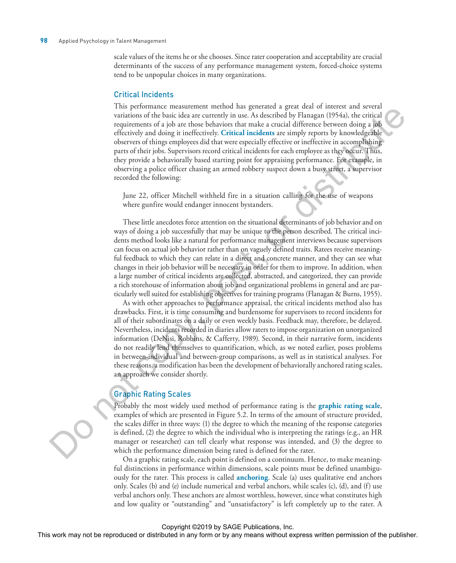scale values of the items he or she chooses. Since rater cooperation and acceptability are crucial determinants of the success of any performance management system, forced-choice systems tend to be unpopular choices in many organizations.

### Critical Incidents

This performance measurement method has generated a great deal of interest and several variations of the basic idea are currently in use. As described by Flanagan (1954a), the critical requirements of a job are those behaviors that make a crucial difference between doing a job effectively and doing it ineffectively. **Critical incidents** are simply reports by knowledgeable observers of things employees did that were especially effective or ineffective in accomplishing parts of their jobs. Supervisors record critical incidents for each employee as they occur. Thus, they provide a behaviorally based starting point for appraising performance. For example, in observing a police officer chasing an armed robbery suspect down a busy street, a supervisor recorded the following:

June 22, officer Mitchell withheld fire in a situation calling for the use of weapons where gunfire would endanger innocent bystanders.

These little anecdotes force attention on the situational determinants of job behavior and on ways of doing a job successfully that may be unique to the person described. The critical incidents method looks like a natural for performance management interviews because supervisors can focus on actual job behavior rather than on vaguely defined traits. Ratees receive meaningful feedback to which they can relate in a direct and concrete manner, and they can see what changes in their job behavior will be necessary in order for them to improve. In addition, when a large number of critical incidents are collected, abstracted, and categorized, they can provide a rich storehouse of information about job and organizational problems in general and are particularly well suited for establishing objectives for training programs (Flanagan & Burns, 1955). The results work may not be reproduced or distributed in a state of the repression of the reproduced or distributed in any form or by any means when  $\alpha$  is a coupled in a state of the publisher. This were also as a compl

As with other approaches to performance appraisal, the critical incidents method also has drawbacks. First, it is time consuming and burdensome for supervisors to record incidents for all of their subordinates on a daily or even weekly basis. Feedback may, therefore, be delayed. Nevertheless, incidents recorded in diaries allow raters to impose organization on unorganized information (DeNisi, Robbins, & Cafferty, 1989). Second, in their narrative form, incidents do not readily lend themselves to quantification, which, as we noted earlier, poses problems in between-individual and between-group comparisons, as well as in statistical analyses. For these reasons, a modification has been the development of behaviorally anchored rating scales, an approach we consider shortly.

## Graphic Rating Scales

Probably the most widely used method of performance rating is the **graphic rating scale**, examples of which are presented in Figure 5.2. In terms of the amount of structure provided, the scales differ in three ways: (1) the degree to which the meaning of the response categories is defined, (2) the degree to which the individual who is interpreting the ratings (e.g., an HR manager or researcher) can tell clearly what response was intended, and (3) the degree to which the performance dimension being rated is defined for the rater.

On a graphic rating scale, each point is defined on a continuum. Hence, to make meaningful distinctions in performance within dimensions, scale points must be defined unambiguously for the rater. This process is called **anchoring**. Scale (a) uses qualitative end anchors only. Scales (b) and (e) include numerical and verbal anchors, while scales (c), (d), and (f) use verbal anchors only. These anchors are almost worthless, however, since what constitutes high and low quality or "outstanding" and "unsatisfactory" is left completely up to the rater. A

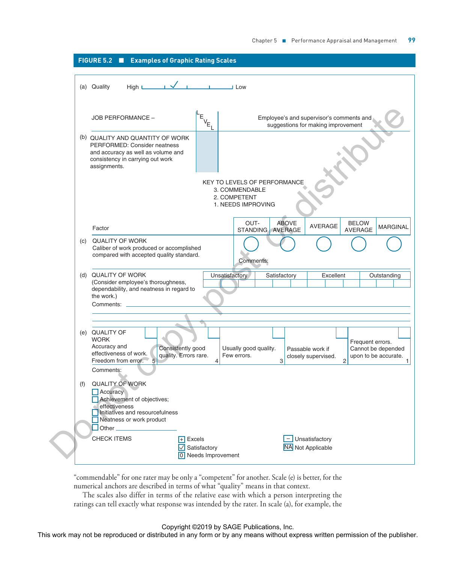|     | $E_{V_{E,R}}$<br>Employee's and supervisor's comments and<br>JOB PERFORMANCE -<br>suggestions for making improvement                                                                                                                                                                                                                                                                  |
|-----|---------------------------------------------------------------------------------------------------------------------------------------------------------------------------------------------------------------------------------------------------------------------------------------------------------------------------------------------------------------------------------------|
|     | (b) QUALITY AND QUANTITY OF WORK<br>PERFORMED: Consider neatness<br>and accuracy as well as volume and<br>consistency in carrying out work<br>assignments.                                                                                                                                                                                                                            |
|     | KEY TO LEVELS OF PERFORMANCE<br>3. COMMENDABLE<br>2. COMPETENT<br>1. NEEDS IMPROVING                                                                                                                                                                                                                                                                                                  |
|     | OUT-<br><b>ABOVE</b><br><b>BELOW</b><br>AVERAGE<br><b>MARGINAL</b><br>Factor<br><b>AVERAGE</b><br>STANDING AVERAGE                                                                                                                                                                                                                                                                    |
|     | (c) QUALITY OF WORK<br>Caliber of work produced or accomplished<br>compared with accepted quality standard.<br>Comments:                                                                                                                                                                                                                                                              |
|     | (d) QUALITY OF WORK<br>Unsatisfactory<br>Satisfactory<br>Excellent<br>Outstanding<br>(Consider employee's thoroughness,<br>dependability, and neatness in regard to<br>the work.)<br>Comments:                                                                                                                                                                                        |
|     |                                                                                                                                                                                                                                                                                                                                                                                       |
|     | (e) QUALITY OF<br><b>WORK</b><br>Frequent errors.<br>Accuracy and<br>Consistently good<br>Usually good quality.<br>Cannot be depended<br>Passable work if<br>effectiveness of work.<br>quality. Errors rare.<br>Few errors.<br>upon to be accurate.<br>closely supervised.<br>Freedom from error.<br>5<br>$\overline{c}$<br>3<br>4                                                    |
| (f) | Comments:<br><b>QUALITY OF WORK</b><br>Accuracy<br>Achievement of objectives;<br>effectiveness<br>Initiatives and resourcefulness<br>Neatness or work product                                                                                                                                                                                                                         |
|     | $\Box$ Other $\Box$<br><b>CHECK ITEMS</b><br>- Unsatisfactory<br><b>Excels</b><br><b>NA</b> Not Applicable<br>Satisfactory<br>Needs Improvement                                                                                                                                                                                                                                       |
|     | "commendable" for one rater may be only a "competent" for another. Scale (e) is better, for the<br>numerical anchors are described in terms of what "quality" means in that context.<br>The scales also differ in terms of the relative ease with which a person interpreting the<br>ratings can tell exactly what response was intended by the rater. In scale (a), for example, the |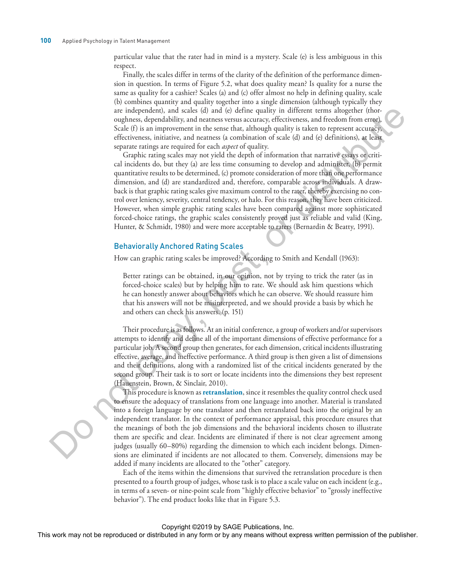particular value that the rater had in mind is a mystery. Scale (e) is less ambiguous in this respect.

Finally, the scales differ in terms of the clarity of the definition of the performance dimension in question. In terms of Figure 5.2, what does quality mean? Is quality for a nurse the same as quality for a cashier? Scales (a) and (c) offer almost no help in defining quality, scale (b) combines quantity and quality together into a single dimension (although typically they are independent), and scales (d) and (e) define quality in different terms altogether (thoroughness, dependability, and neatness versus accuracy, effectiveness, and freedom from error). Scale (f) is an improvement in the sense that, although quality is taken to represent accuracy, effectiveness, initiative, and neatness (a combination of scale (d) and (e) definitions), at least separate ratings are required for each *aspect* of quality.

Graphic rating scales may not yield the depth of information that narrative essays or critical incidents do, but they (a) are less time consuming to develop and administer, (b) permit quantitative results to be determined, (c) promote consideration of more than one performance dimension, and (d) are standardized and, therefore, comparable across individuals. A drawback is that graphic rating scales give maximum control to the rater, thereby exercising no control over leniency, severity, central tendency, or halo. For this reason, they have been criticized. However, when simple graphic rating scales have been compared against more sophisticated forced-choice ratings, the graphic scales consistently proved just as reliable and valid (King, Hunter, & Schmidt, 1980) and were more acceptable to raters (Bernardin & Beatty, 1991). This work may not be reproduced to the state of distributed in any filler to the representation of the representation of the representation of the representation of the representation of the publisher. This can be any mean

## Behaviorally Anchored Rating Scales

How can graphic rating scales be improved? According to Smith and Kendall (1963):

Better ratings can be obtained, in our opinion, not by trying to trick the rater (as in forced-choice scales) but by helping him to rate. We should ask him questions which he can honestly answer about behaviors which he can observe. We should reassure him that his answers will not be misinterpreted, and we should provide a basis by which he and others can check his answers. (p. 151)

Their procedure is as follows. At an initial conference, a group of workers and/or supervisors attempts to identify and define all of the important dimensions of effective performance for a particular job. A second group then generates, for each dimension, critical incidents illustrating effective, average, and ineffective performance. A third group is then given a list of dimensions and their definitions, along with a randomized list of the critical incidents generated by the second group. Their task is to sort or locate incidents into the dimensions they best represent (Hauenstein, Brown, & Sinclair, 2010).

This procedure is known as **retranslation**, since it resembles the quality control check used to ensure the adequacy of translations from one language into another. Material is translated into a foreign language by one translator and then retranslated back into the original by an independent translator. In the context of performance appraisal, this procedure ensures that the meanings of both the job dimensions and the behavioral incidents chosen to illustrate them are specific and clear. Incidents are eliminated if there is not clear agreement among judges (usually 60–80%) regarding the dimension to which each incident belongs. Dimensions are eliminated if incidents are not allocated to them. Conversely, dimensions may be added if many incidents are allocated to the "other" category.

Each of the items within the dimensions that survived the retranslation procedure is then presented to a fourth group of judges, whose task is to place a scale value on each incident (e.g., in terms of a seven- or nine-point scale from "highly effective behavior" to "grossly ineffective behavior"). The end product looks like that in Figure 5.3.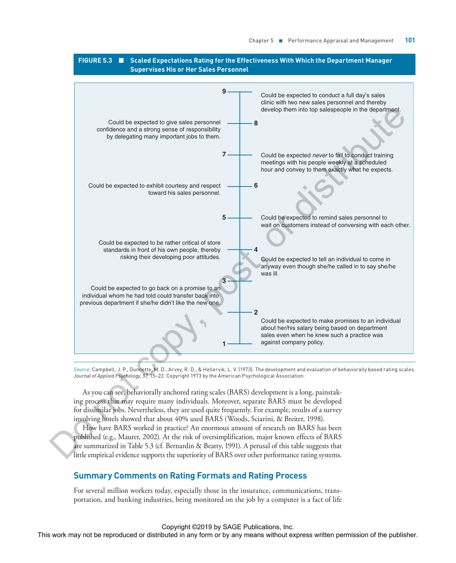

### **FIGURE 5.3** ■ **Scaled Expectations Rating for the Effectiveness With Which the Department Manager Supervises His or Her Sales Personnel**

*Source:* Campbell, J. P., Dunnette, M. D., Arvey, R. D., & Hellervik, L. V. (1973). The development and evaluation of behaviorally based rating scales. *Journal of Applied Psychology, 57*, 15–22. Copyright 1973 by the American Psychological Association.

As you can see, behaviorally anchored rating scales (BARS) development is a long, painstaking process that may require many individuals. Moreover, separate BARS must be developed for dissimilar jobs. Nevertheless, they are used quite frequently. For example, results of a survey involving hotels showed that about 40% used BARS (Woods, Sciarini, & Breiter, 1998).

How have BARS worked in practice? An enormous amount of research on BARS has been published (e.g., Maurer, 2002). At the risk of oversimplification, major known effects of BARS are summarized in Table 5.3 (cf. Bernardin & Beatty, 1991). A perusal of this table suggests that little empirical evidence supports the superiority of BARS over other performance rating systems.

## **Summary Comments on Rating Formats and Rating Process**

For several million workers today, especially those in the insurance, communications, transportation, and banking industries, being monitored on the job by a computer is a fact of life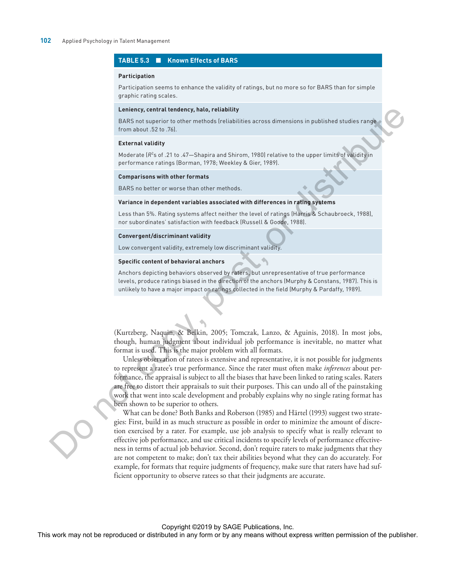#### **TABLE 5.3** ■ **Known Effects of BARS**

#### **Participation**

Participation seems to enhance the validity of ratings, but no more so for BARS than for simple graphic rating scales.

#### **Leniency, central tendency, halo, reliability**

BARS not superior to other methods (reliabilities across dimensions in published studies range from about .52 to .76).

#### **External validity**

Moderate (R<sup>2</sup>s of .21 to .47—Shapira and Shirom, 1980) relative to the upper limits of validity in performance ratings (Borman, 1978; Weekley & Gier, 1989).

#### **Comparisons with other formats**

BARS no better or worse than other methods.

#### **Variance in dependent variables associated with differences in rating systems**

Less than 5%. Rating systems affect neither the level of ratings (Harris & Schaubroeck, 1988), nor subordinates' satisfaction with feedback (Russell & Goode, 1988).

#### **Convergent/discriminant validity**

Low convergent validity, extremely low discriminant validity.

### **Specific content of behavioral anchors**

Anchors depicting behaviors observed by raters, but unrepresentative of true performance levels, produce ratings biased in the direction of the anchors (Murphy & Constans, 1987). This is unlikely to have a major impact on ratings collected in the field (Murphy & Pardaffy, 1989).

(Kurtzberg, Naquin, & Belkin, 2005; Tomczak, Lanzo, & Aguinis, 2018). In most jobs, though, human judgment about individual job performance is inevitable, no matter what format is used. This is the major problem with all formats.

Unless observation of ratees is extensive and representative, it is not possible for judgments to represent a ratee's true performance. Since the rater must often make *inferences* about performance, the appraisal is subject to all the biases that have been linked to rating scales. Raters are free to distort their appraisals to suit their purposes. This can undo all of the painstaking work that went into scale development and probably explains why no single rating format has been shown to be superior to others.

What can be done? Both Banks and Roberson (1985) and Härtel (1993) suggest two strategies: First, build in as much structure as possible in order to minimize the amount of discretion exercised by a rater. For example, use job analysis to specify what is really relevant to effective job performance, and use critical incidents to specify levels of performance effectiveness in terms of actual job behavior. Second, don't require raters to make judgments that they are not competent to make; don't tax their abilities beyond what they can do accurately. For example, for formats that require judgments of frequency, make sure that raters have had sufficient opportunity to observe ratees so that their judgments are accurate. Latter the repression of the repression of the representation or the representation or the representation of the reproduced or distributed in any form or by any form or by any form or by any form or by any form or by any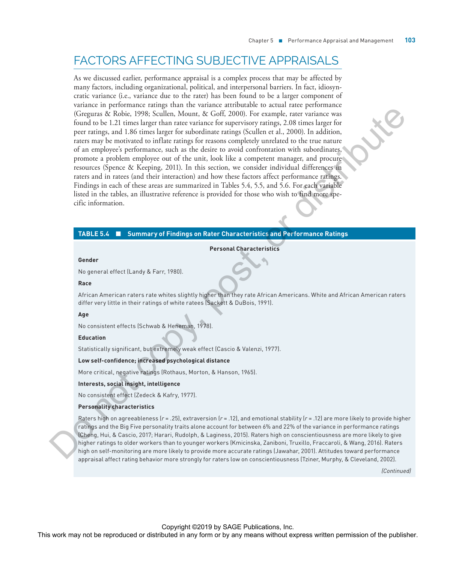## FACTORS AFFECTING SUBJECTIVE APPRAISALS

As we discussed earlier, performance appraisal is a complex process that may be affected by many factors, including organizational, political, and interpersonal barriers. In fact, idiosyncratic variance (i.e., variance due to the rater) has been found to be a larger component of variance in performance ratings than the variance attributable to actual ratee performance (Greguras & Robie, 1998; Scullen, Mount, & Goff, 2000). For example, rater variance was found to be 1.21 times larger than ratee variance for supervisory ratings, 2.08 times larger for peer ratings, and 1.86 times larger for subordinate ratings (Scullen et al., 2000). In addition, raters may be motivated to inflate ratings for reasons completely unrelated to the true nature of an employee's performance, such as the desire to avoid confrontation with subordinates, promote a problem employee out of the unit, look like a competent manager, and procure resources (Spence & Keeping, 2011). In this section, we consider individual differences in raters and in ratees (and their interaction) and how these factors affect performance ratings. Findings in each of these areas are summarized in Tables 5.4, 5.5, and 5.6. For each variable listed in the tables, an illustrative reference is provided for those who wish to find more specific information. Construction is Noted that the repression in a Cold 2000, For controls, and the repression or the reproduced or distributed in any means were repressed to the means were repressed to the means written and the form or by a

## **TABLE 5.4** ■ **Summary of Findings on Rater Characteristics and Performance Ratings**

#### **Personal Characteristics**

#### **Gender**

No general effect (Landy & Farr, 1980).

#### **Race**

African American raters rate whites slightly higher than they rate African Americans. White and African American raters differ very little in their ratings of white ratees (Sackett & DuBois, 1991).

#### **Age**

No consistent effects (Schwab & Heneman, 1978).

#### **Education**

Statistically significant, but extremely weak effect (Cascio & Valenzi, 1977).

#### **Low self-confidence; increased psychological distance**

More critical, negative ratings (Rothaus, Morton, & Hanson, 1965).

#### **Interests, social insight, intelligence**

No consistent effect (Zedeck & Kafry, 1977).

### **Personality characteristics**

Raters high on agreeableness (*r* = .25), extraversion (*r* = .12), and emotional stability (*r* = .12) are more likely to provide higher ratings and the Big Five personality traits alone account for between 6% and 22% of the variance in performance ratings (Cheng, Hui, & Cascio, 2017; Harari, Rudolph, & Laginess, 2015). Raters high on conscientiousness are more likely to give higher ratings to older workers than to younger workers (Kmicinska, Zaniboni, Truxillo, Fraccaroli, & Wang, 2016). Raters high on self-monitoring are more likely to provide more accurate ratings (Jawahar, 2001). Attitudes toward performance appraisal affect rating behavior more strongly for raters low on conscientiousness (Tziner, Murphy, & Cleveland, 2002).

*(Continued)*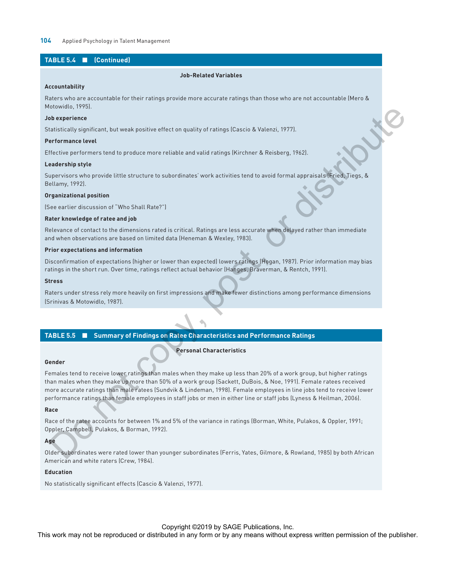#### **TABLE 5.4** ■ **(Continued)**

#### **Job-Related Variables**

#### **Accountability**

Raters who are accountable for their ratings provide more accurate ratings than those who are not accountable (Mero & Motowidlo, 1995).

#### **Job experience**

Statistically significant, but weak positive effect on quality of ratings (Cascio & Valenzi, 1977).

#### **Performance level**

Effective performers tend to produce more reliable and valid ratings (Kirchner & Reisberg, 1962).

#### **Leadership style**

Supervisors who provide little structure to subordinates' work activities tend to avoid formal appraisals (Fried, Tiegs, & Bellamy, 1992).

#### **Organizational position**

(See earlier discussion of "Who Shall Rate?")

#### **Rater knowledge of ratee and job**

Relevance of contact to the dimensions rated is critical. Ratings are less accurate when delayed rather than immediate and when observations are based on limited data (Heneman & Wexley, 1983).

#### **Prior expectations and information**

Disconfirmation of expectations (higher or lower than expected) lowers ratings (Hogan, 1987). Prior information may bias ratings in the short run. Over time, ratings reflect actual behavior (Hanges, Braverman, & Rentch, 1991).

#### **Stress**

Raters under stress rely more heavily on first impressions and make fewer distinctions among performance dimensions (Srinivas & Motowidlo, 1987).

## **TABLE 5.5** ■ **Summary of Findings on Ratee Characteristics and Performance Ratings**

#### **Personal Characteristics**

#### **Gender**

Females tend to receive lower ratings than males when they make up less than 20% of a work group, but higher ratings than males when they make up more than 50% of a work group (Sackett, DuBois, & Noe, 1991). Female ratees received more accurate ratings than male ratees (Sundvik & Lindeman, 1998). Female employees in line jobs tend to receive lower performance ratings than female employees in staff jobs or men in either line or staff jobs (Lyness & Heilman, 2006). This may not be represented to the representation of the representation or distributed in any form or distributed in any form or by any means without express without express with the publisher. The components are also the

#### **Race**

Race of the ratee accounts for between 1% and 5% of the variance in ratings (Borman, White, Pulakos, & Oppler, 1991; Oppler, Campbell, Pulakos, & Borman, 1992).

### **Age**

Older subordinates were rated lower than younger subordinates (Ferris, Yates, Gilmore, & Rowland, 1985) by both African American and white raters (Crew, 1984).

#### **Education**

No statistically significant effects (Cascio & Valenzi, 1977).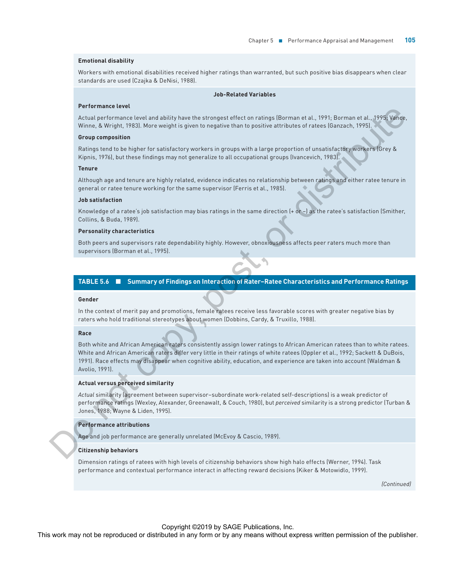#### **Emotional disability**

Workers with emotional disabilities received higher ratings than warranted, but such positive bias disappears when clear standards are used (Czajka & DeNisi, 1988).

#### **Job-Related Variables**

#### **Performance level**

Actual performance level and ability have the strongest effect on ratings (Borman et al., 1991; Borman et al., 1995; Vance, Winne, & Wright, 1983). More weight is given to negative than to positive attributes of ratees (Ganzach, 1995).

#### **Group composition**

Ratings tend to be higher for satisfactory workers in groups with a large proportion of unsatisfactory workers (Grey & Kipnis, 1976), but these findings may not generalize to all occupational groups (Ivancevich, 1983).

#### **Tenure**

Although age and tenure are highly related, evidence indicates no relationship between ratings and either ratee tenure in general or ratee tenure working for the same supervisor (Ferris et al., 1985).

#### **Job satisfaction**

Knowledge of a ratee's job satisfaction may bias ratings in the same direction (+ or –) as the ratee's satisfaction (Smither, Collins, & Buda, 1989).

#### **Personality characteristics**

Both peers and supervisors rate dependability highly. However, obnoxiousness affects peer raters much more than supervisors (Borman et al., 1995).

### **TABLE 5.6** ■ **Summary of Findings on Interaction of Rater–Ratee Characteristics and Performance Ratings**

#### **Gender**

In the context of merit pay and promotions, female ratees receive less favorable scores with greater negative bias by raters who hold traditional stereotypes about women (Dobbins, Cardy, & Truxillo, 1988).

#### **Race**

Both white and African American raters consistently assign lower ratings to African American ratees than to white ratees. White and African American raters differ very little in their ratings of white ratees (Oppler et al., 1992; Sackett & DuBois, 1991). Race effects may disappear when cognitive ability, education, and experience are taken into account (Waldman & Avolio, 1991). The rest may not be reproduced or distributed in any form or by an any form or between the publisher. This work may not be reproduced the publishers of the publishers of the publishers of the publishers of the publishers o

#### **Actual versus perceived similarity**

*Actual* similarity (agreement between supervisor–subordinate work-related self-descriptions) is a weak predictor of performance ratings (Wexley, Alexander, Greenawalt, & Couch, 1980), but *perceived* similarity is a strong predictor (Turban & Jones, 1988; Wayne & Liden, 1995).

#### **Performance attributions**

Age and job performance are generally unrelated (McEvoy & Cascio, 1989).

#### **Citizenship behaviors**

Dimension ratings of ratees with high levels of citizenship behaviors show high halo effects (Werner, 1994). Task performance and contextual performance interact in affecting reward decisions (Kiker & Motowidlo, 1999).

*(Continued)*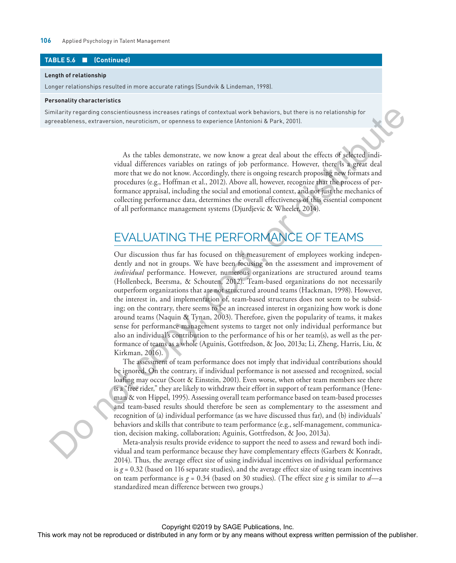### **TABLE 5.6** ■ **(Continued)**

#### **Length of relationship**

Longer relationships resulted in more accurate ratings (Sundvik & Lindeman, 1998).

#### **Personality characteristics**

Similarity regarding conscientiousness increases ratings of contextual work behaviors, but there is no relationship for agreeableness, extraversion, neuroticism, or openness to experience (Antonioni & Park, 2001).

> As the tables demonstrate, we now know a great deal about the effects of selected individual differences variables on ratings of job performance. However, there is a great deal more that we do not know. Accordingly, there is ongoing research proposing new formats and procedures (e.g., Hoffman et al., 2012). Above all, however, recognize that the process of performance appraisal, including the social and emotional context, and not just the mechanics of collecting performance data, determines the overall effectiveness of this essential component of all performance management systems (Djurdjevic & Wheeler, 2014).

## EVALUATING THE PERFORMANCE OF TEAMS

Our discussion thus far has focused on the measurement of employees working independently and not in groups. We have been focusing on the assessment and improvement of *individual* performance. However, numerous organizations are structured around teams (Hollenbeck, Beersma, & Schouten, 2012). Team-based organizations do not necessarily outperform organizations that are not structured around teams (Hackman, 1998). However, the interest in, and implementation of, team-based structures does not seem to be subsiding; on the contrary, there seems to be an increased interest in organizing how work is done around teams (Naquin & Tynan, 2003). Therefore, given the popularity of teams, it makes sense for performance management systems to target not only individual performance but also an individual's contribution to the performance of his or her team(s), as well as the performance of teams as a whole (Aguinis, Gottfredson, & Joo, 2013a; Li, Zheng, Harris, Liu, & Kirkman, 2016). Source the reproduced or distributed or distributed in any form or by any form or distributed or distributed or distributed in any form or by any  $\alpha$  means with the publisher. This were reproduced to the publisher of the

The assessment of team performance does not imply that individual contributions should be ignored. On the contrary, if individual performance is not assessed and recognized, social loafing may occur (Scott & Einstein, 2001). Even worse, when other team members see there is a "free rider," they are likely to withdraw their effort in support of team performance (Heneman & von Hippel, 1995). Assessing overall team performance based on team-based processes and team-based results should therefore be seen as complementary to the assessment and recognition of (a) individual performance (as we have discussed thus far), and (b) individuals' behaviors and skills that contribute to team performance (e.g., self-management, communication, decision making, collaboration; Aguinis, Gottfredson, & Joo, 2013a).

Meta-analysis results provide evidence to support the need to assess and reward both individual and team performance because they have complementary effects (Garbers & Konradt, 2014). Thus, the average effect size of using individual incentives on individual performance is  $g = 0.32$  (based on 116 separate studies), and the average effect size of using team incentives on team performance is  $g = 0.34$  (based on 30 studies). (The effect size g is similar to  $d$ —a standardized mean difference between two groups.)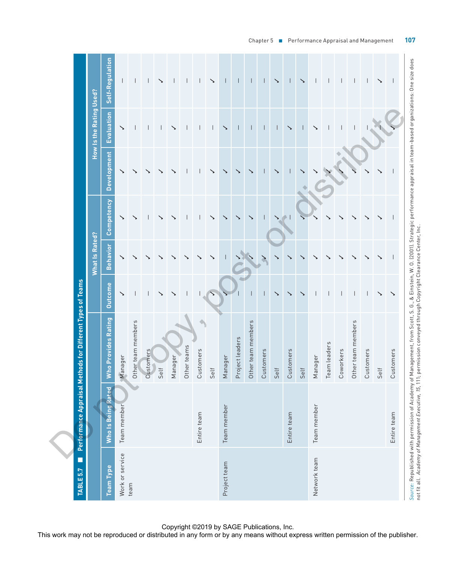| L.<br>TABLE 5.7  |                           | Performance Appraisal Methods for Different Types of Teams |                |                       |              |             |                         |                 |
|------------------|---------------------------|------------------------------------------------------------|----------------|-----------------------|--------------|-------------|-------------------------|-----------------|
|                  |                           |                                                            |                | <b>What Is Rated?</b> |              |             | How Is the Rating Used? |                 |
| <b>Team Type</b> | <b>Who Is Being Rated</b> | <b>Who Provides Rating</b>                                 | <b>Outcome</b> | Behavior              | Competency   | Development | Evaluation              | Self-Regulation |
| Work or service  | Team member               | Manager                                                    | ↘              | ゝ                     | ↘            | ↘           | ↘                       | $\mathbf{I}$    |
| team             |                           | Other team members                                         |                |                       |              |             |                         |                 |
|                  |                           | Customers                                                  |                |                       |              |             |                         |                 |
|                  |                           | Self                                                       |                |                       |              |             |                         | ↘               |
|                  |                           | Manager                                                    |                |                       |              |             |                         |                 |
|                  |                           | Other teams                                                |                |                       |              |             |                         |                 |
|                  | Entire team               | Customers                                                  |                |                       |              |             |                         |                 |
|                  |                           | Self                                                       |                |                       |              |             |                         | ↘               |
| Project team     | Team member               | Manager                                                    |                |                       |              |             | ↘                       |                 |
|                  |                           | Project leaders                                            |                |                       |              |             |                         |                 |
|                  |                           | Other team members                                         |                |                       |              |             | $\mathbf{I}$            |                 |
|                  |                           | Customers                                                  |                |                       | $\mathbf{I}$ |             | $\mathbf{I}$            | $\mathsf{I}$    |
|                  |                           | Self                                                       | ゝ              |                       |              | ゝ           |                         | $\checkmark$    |
|                  | Entire team               | Customers                                                  | ↘              |                       |              |             | ↘                       | $\mathbf{I}$    |
|                  |                           | Self                                                       | ↘              |                       |              |             |                         | ↘               |
| Network team     | Team member               | Manager                                                    |                |                       |              |             | ↘                       |                 |
|                  |                           | Team leaders                                               |                |                       |              |             |                         |                 |
|                  |                           | Coworkers                                                  |                |                       |              |             |                         |                 |
|                  |                           | Other team members                                         |                |                       |              |             |                         |                 |
|                  |                           | Customers                                                  |                |                       |              |             |                         | $\mathbf{I}$    |
|                  |                           | Self                                                       | ↘              |                       |              | ↘           |                         | ↘               |
|                  | Entire team               | Customers                                                  |                |                       |              |             |                         |                 |

not fit all. *Academy of Management Executive, 15*, 111; permission conveyed through Copyright Clearance Center, Inc.

Copyright ©2019 by SAGE Publications, Inc.<br>This work may not be reproduced or distributed in any form or by any means without express written permission of the publisher.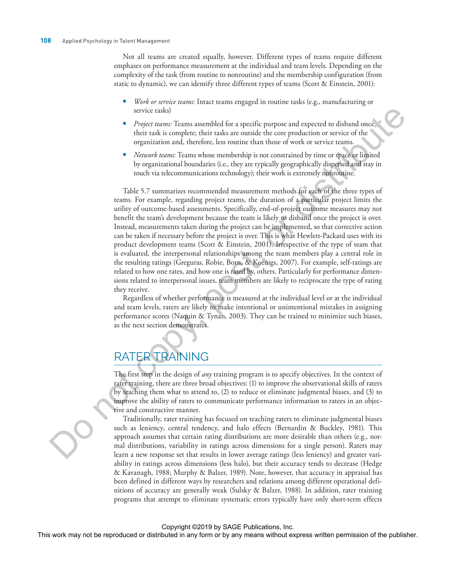Not all teams are created equally, however. Different types of teams require different emphases on performance measurement at the individual and team levels. Depending on the complexity of the task (from routine to nonroutine) and the membership configuration (from static to dynamic), we can identify three different types of teams (Scott & Einstein, 2001):

- *Work or service teams:* Intact teams engaged in routine tasks (e.g., manufacturing or service tasks)
- *Project teams:* Teams assembled for a specific purpose and expected to disband once their task is complete; their tasks are outside the core production or service of the organization and, therefore, less routine than those of work or service teams.
- *Network teams:* Teams whose membership is not constrained by time or space or limited by organizational boundaries (i.e., they are typically geographically dispersed and stay in touch via telecommunications technology); their work is extremely nonroutine.

Table 5.7 summarizes recommended measurement methods for each of the three types of teams. For example, regarding project teams, the duration of a particular project limits the utility of outcome-based assessments. Specifically, end-of-project outcome measures may not benefit the team's development because the team is likely to disband once the project is over. Instead, measurements taken during the project can be implemented, so that corrective action can be taken if necessary before the project is over. This is what Hewlett-Packard uses with its product development teams (Scott & Einstein, 2001). Irrespective of the type of team that is evaluated, the interpersonal relationships among the team members play a central role in the resulting ratings (Greguras, Robie, Born, & Koenigs, 2007). For example, self-ratings are related to how one rates, and how one is rated by, others. Particularly for performance dimensions related to interpersonal issues, team members are likely to reciprocate the type of rating they receive. The rest is a state of the state of the rest is a state of the rest or between the rest or distributed or distributed in any form or between the state or properties are not be reproduced or the rest of the publisher. This

Regardless of whether performance is measured at the individual level or at the individual and team levels, raters are likely to make intentional or unintentional mistakes in assigning performance scores (Naquin & Tynan, 2003). They can be trained to minimize such biases, as the next section demonstrates.

## RATER TRAINING

The first step in the design of *any* training program is to specify objectives. In the context of rater training, there are three broad objectives: (1) to improve the observational skills of raters by teaching them what to attend to, (2) to reduce or eliminate judgmental biases, and (3) to improve the ability of raters to communicate performance information to ratees in an objective and constructive manner.

Traditionally, rater training has focused on teaching raters to eliminate judgmental biases such as leniency, central tendency, and halo effects (Bernardin & Buckley, 1981). This approach assumes that certain rating distributions are more desirable than others (e.g., normal distributions, variability in ratings across dimensions for a single person). Raters may learn a new response set that results in lower average ratings (less leniency) and greater variability in ratings across dimensions (less halo), but their accuracy tends to decrease (Hedge & Kavanagh, 1988; Murphy & Balzer, 1989). Note, however, that accuracy in appraisal has been defined in different ways by researchers and relations among different operational definitions of accuracy are generally weak (Sulsky & Balzer, 1988). In addition, rater training programs that attempt to eliminate systematic errors typically have only short-term effects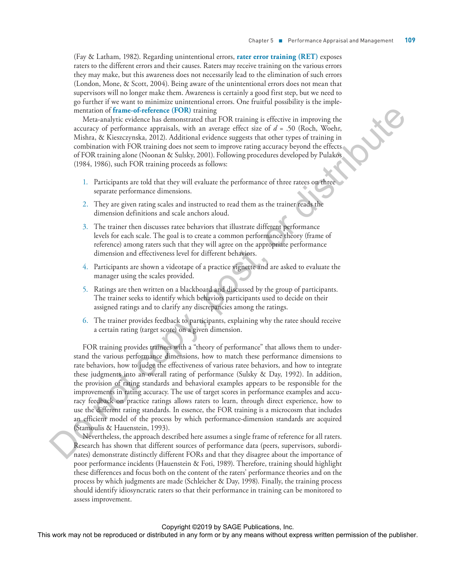(Fay & Latham, 1982). Regarding unintentional errors, **rater error training (RET)** exposes raters to the different errors and their causes. Raters may receive training on the various errors they may make, but this awareness does not necessarily lead to the elimination of such errors (London, Mone, & Scott, 2004). Being aware of the unintentional errors does not mean that supervisors will no longer make them. Awareness is certainly a good first step, but we need to go further if we want to minimize unintentional errors. One fruitful possibility is the implementation of **frame-of-reference (FOR)** training

Meta-analytic evidence has demonstrated that FOR training is effective in improving the accuracy of performance appraisals, with an average effect size of *d* = .50 (Roch, Woehr, Mishra, & Kieszczynska, 2012). Additional evidence suggests that other types of training in combination with FOR training does not seem to improve rating accuracy beyond the effects of FOR training alone (Noonan & Sulsky, 2001). Following procedures developed by Pulakos (1984, 1986), such FOR training proceeds as follows:

- 1. Participants are told that they will evaluate the performance of three ratees on three separate performance dimensions.
- 2. They are given rating scales and instructed to read them as the trainer reads the dimension definitions and scale anchors aloud.
- 3. The trainer then discusses ratee behaviors that illustrate different performance levels for each scale. The goal is to create a common performance theory (frame of reference) among raters such that they will agree on the appropriate performance dimension and effectiveness level for different behaviors.
- 4. Participants are shown a videotape of a practice vignette and are asked to evaluate the manager using the scales provided.
- 5. Ratings are then written on a blackboard and discussed by the group of participants. The trainer seeks to identify which behaviors participants used to decide on their assigned ratings and to clarify any discrepancies among the ratings.
- 6. The trainer provides feedback to participants, explaining why the ratee should receive a certain rating (target score) on a given dimension.

FOR training provides trainees with a "theory of performance" that allows them to understand the various performance dimensions, how to match these performance dimensions to rate behaviors, how to judge the effectiveness of various ratee behaviors, and how to integrate these judgments into an overall rating of performance (Sulsky & Day, 1992). In addition, the provision of rating standards and behavioral examples appears to be responsible for the improvements in rating accuracy. The use of target scores in performance examples and accuracy feedback on practice ratings allows raters to learn, through direct experience, how to use the different rating standards. In essence, the FOR training is a microcosm that includes an efficient model of the process by which performance-dimension standards are acquired (Stamoulis & Hauenstein, 1993). The restriction of the repression of the repression of the repression of the restriction or distributed in a security of performance appear of the restriction of the publisher. The restriction of the publisher is a securi

Nevertheless, the approach described here assumes a single frame of reference for all raters. Research has shown that different sources of performance data (peers, supervisors, subordinates) demonstrate distinctly different FORs and that they disagree about the importance of poor performance incidents (Hauenstein & Foti, 1989). Therefore, training should highlight these differences and focus both on the content of the raters' performance theories and on the process by which judgments are made (Schleicher & Day, 1998). Finally, the training process should identify idiosyncratic raters so that their performance in training can be monitored to assess improvement.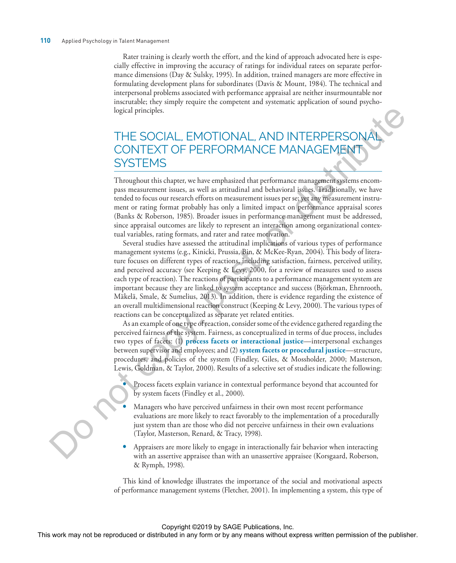Rater training is clearly worth the effort, and the kind of approach advocated here is especially effective in improving the accuracy of ratings for individual ratees on separate performance dimensions (Day & Sulsky, 1995). In addition, trained managers are more effective in formulating development plans for subordinates (Davis & Mount, 1984). The technical and interpersonal problems associated with performance appraisal are neither insurmountable nor inscrutable; they simply require the competent and systematic application of sound psychological principles.

## THE SOCIAL, EMOTIONAL, AND INTERPERSON CONTEXT OF PERFORMANCE MANAGEMEN **SYSTEMS**

Throughout this chapter, we have emphasized that performance management systems encompass measurement issues, as well as attitudinal and behavioral issues. Traditionally, we have tended to focus our research efforts on measurement issues per se; yet any measurement instrument or rating format probably has only a limited impact on performance appraisal scores (Banks & Roberson, 1985). Broader issues in performance management must be addressed, since appraisal outcomes are likely to represent an interaction among organizational contextual variables, rating formats, and rater and ratee motivation.

Several studies have assessed the attitudinal implications of various types of performance management systems (e.g., Kinicki, Prussia, Bin, & McKee-Ryan, 2004). This body of literature focuses on different types of reactions, including satisfaction, fairness, perceived utility, and perceived accuracy (see Keeping & Levy, 2000, for a review of measures used to assess each type of reaction). The reactions of participants to a performance management system are important because they are linked to system acceptance and success (Björkman, Ehrnrooth, Mäkelä, Smale, & Sumelius, 2013). In addition, there is evidence regarding the existence of an overall multidimensional reaction construct (Keeping & Levy, 2000). The various types of reactions can be conceptualized as separate yet related entities. Figure ) priority the reproduced or the reproduced or distributed in any form or be reproduced in any form or be reproduced in any form or be reproduced in any form or be reproduced in any form or be reproduced in any mean

As an example of one type of reaction, consider some of the evidence gathered regarding the perceived fairness of the system. Fairness, as conceptualized in terms of due process, includes two types of facets: (1) **process facets or interactional justice**—interpersonal exchanges between supervisor and employees; and (2) **system facets or procedural justice**—structure, procedures, and policies of the system (Findley, Giles, & Mossholder, 2000; Masterson, Lewis, Goldman, & Taylor, 2000). Results of a selective set of studies indicate the following:

 Process facets explain variance in contextual performance beyond that accounted for by system facets (Findley et al., 2000).

- Managers who have perceived unfairness in their own most recent performance evaluations are more likely to react favorably to the implementation of a procedurally just system than are those who did not perceive unfairness in their own evaluations (Taylor, Masterson, Renard, & Tracy, 1998).
- Appraisers are more likely to engage in interactionally fair behavior when interacting with an assertive appraisee than with an unassertive appraisee (Korsgaard, Roberson, & Rymph, 1998).

This kind of knowledge illustrates the importance of the social and motivational aspects of performance management systems (Fletcher, 2001). In implementing a system, this type of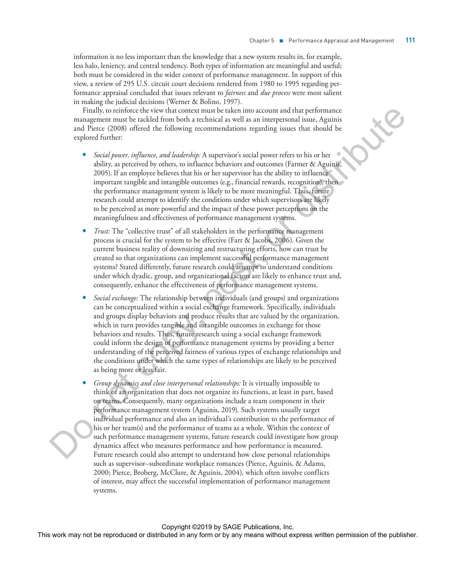information is no less important than the knowledge that a new system results in, for example, less halo, leniency, and central tendency. Both types of information are meaningful and useful; both must be considered in the wider context of performance management. In support of this view, a review of 295 U.S. circuit court decisions rendered from 1980 to 1995 regarding performance appraisal concluded that issues relevant to *fairness* and *due process* were most salient in making the judicial decisions (Werner & Bolino, 1997).

Finally, to reinforce the view that context must be taken into account and that performance management must be tackled from both a technical as well as an interpersonal issue, Aguinis and Pierce (2008) offered the following recommendations regarding issues that should be explored further:

- *Social power, influence, and leadership:* A supervisor's social power refers to his or her ability, as perceived by others, to influence behaviors and outcomes (Farmer & Aguinis, 2005). If an employee believes that his or her supervisor has the ability to influence important tangible and intangible outcomes (e.g., financial rewards, recognition), then the performance management system is likely to be more meaningful. Thus, future research could attempt to identify the conditions under which supervisors are likely to be perceived as more powerful and the impact of these power perceptions on the meaningfulness and effectiveness of performance management systems.
- *Trust:* The "collective trust" of all stakeholders in the performance management process is crucial for the system to be effective (Farr & Jacobs, 2006). Given the current business reality of downsizing and restructuring efforts, how can trust be created so that organizations can implement successful performance management systems? Stated differently, future research could attempt to understand conditions under which dyadic, group, and organizational factors are likely to enhance trust and, consequently, enhance the effectiveness of performance management systems.
- *Social exchange:* The relationship between individuals (and groups) and organizations can be conceptualized within a social exchange framework. Specifically, individuals and groups display behaviors and produce results that are valued by the organization, which in turn provides tangible and intangible outcomes in exchange for those behaviors and results. Thus, future research using a social exchange framework could inform the design of performance management systems by providing a better understanding of the perceived fairness of various types of exchange relationships and the conditions under which the same types of relationships are likely to be perceived as being more or less fair.
- *Group dynamics and close interpersonal relationships:* It is virtually impossible to think of an organization that does not organize its functions, at least in part, based on teams. Consequently, many organizations include a team component in their performance management system (Aguinis, 2019). Such systems usually target individual performance and also an individual's contribution to the performance of his or her team(s) and the performance of teams as a whole. Within the context of such performance management systems, future research could investigate how group dynamics affect who measures performance and how performance is measured. Future research could also attempt to understand how close personal relationships such as supervisor–subordinate workplace romances (Pierce, Aguinis, & Adams, 2000; Pierce, Broberg, McClure, & Aguinis, 2004), which often involve conflicts of interest, may affect the successful implementation of performance management systems. Thus the rest of the rest or the rest or distributed in a publisher control of the rest or distributed or distributed in any form or by any  $\alpha$  means were related to the rest of the publishered in any form or by any  $\alpha$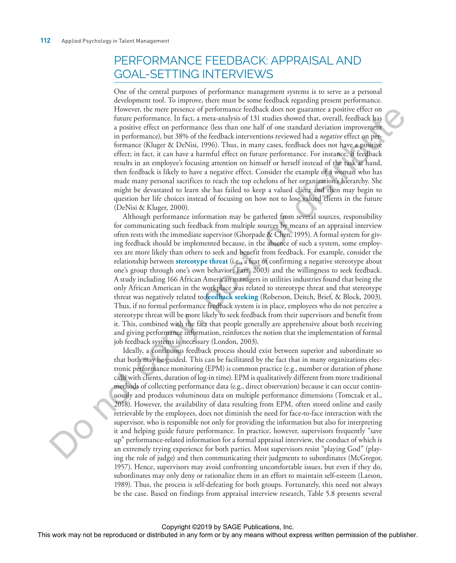## PERFORMANCE FEEDBACK: APPRAISAL AND GOAL-SETTING INTERVIEWS

One of the central purposes of performance management systems is to serve as a personal development tool. To improve, there must be some feedback regarding present performance. However, the mere presence of performance feedback does not guarantee a positive effect on future performance. In fact, a meta-analysis of 131 studies showed that, overall, feedback has a positive effect on performance (less than one half of one standard deviation improvement in performance), but 38% of the feedback interventions reviewed had a *negative* effect on performance (Kluger & DeNisi, 1996). Thus, in many cases, feedback does not have a positive effect; in fact, it can have a harmful effect on future performance. For instance, if feedback results in an employee's focusing attention on himself or herself instead of the task at hand, then feedback is likely to have a negative effect. Consider the example of a woman who has made many personal sacrifices to reach the top echelons of her organization's hierarchy. She might be devastated to learn she has failed to keep a valued client and then may begin to question her life choices instead of focusing on how not to lose valued clients in the future (DeNisi & Kluger, 2000).

Although performance information may be gathered from several sources, responsibility for communicating such feedback from multiple sources by means of an appraisal interview often rests with the immediate supervisor (Ghorpade & Chen, 1995). A formal system for giving feedback should be implemented because, in the absence of such a system, some employees are more likely than others to seek and benefit from feedback. For example, consider the relationship between **stereotype threat** (i.e., a fear of confirming a negative stereotype about one's group through one's own behavior; Farr, 2003) and the willingness to seek feedback. A study including 166 African American managers in utilities industries found that being the only African American in the workplace was related to stereotype threat and that stereotype threat was negatively related to **feedback seeking** (Roberson, Deitch, Brief, & Block, 2003). Thus, if no formal performance feedback system is in place, employees who do not perceive a stereotype threat will be more likely to seek feedback from their supervisors and benefit from it. This, combined with the fact that people generally are apprehensive about both receiving and giving performance information, reinforces the notion that the implementation of formal job feedback systems is necessary (London, 2003).

Ideally, a continuous feedback process should exist between superior and subordinate so that both may be guided. This can be facilitated by the fact that in many organizations electronic performance monitoring (EPM) is common practice (e.g., number or duration of phone calls with clients, duration of log-in time). EPM is qualitatively different from more traditional methods of collecting performance data (e.g., direct observation) because it can occur continuously and produces voluminous data on multiple performance dimensions (Tomczak et al., 2018). However, the availability of data resulting from EPM, often stored online and easily retrievable by the employees, does not diminish the need for face-to-face interaction with the supervisor, who is responsible not only for providing the information but also for interpreting it and helping guide future performance. In practice, however, supervisors frequently "save up" performance-related information for a formal appraisal interview, the conduct of which is an extremely trying experience for both parties. Most supervisors resist "playing God" (playing the role of judge) and then communicating their judgments to subordinates (McGregor, 1957). Hence, supervisors may avoid confronting uncomfortable issues, but even if they do, subordinates may only deny or rationalize them in an effort to maintain self-esteem (Larson, 1989). Thus, the process is self-defeating for both groups. Fortunately, this need not always be the case. Based on findings from appraisal interview research, Table 5.8 presents several However, the mass may not be repressed of the result of distributed in any operator or publisher. The results with the results with the results were permission of the results with the results with the publisher. Since the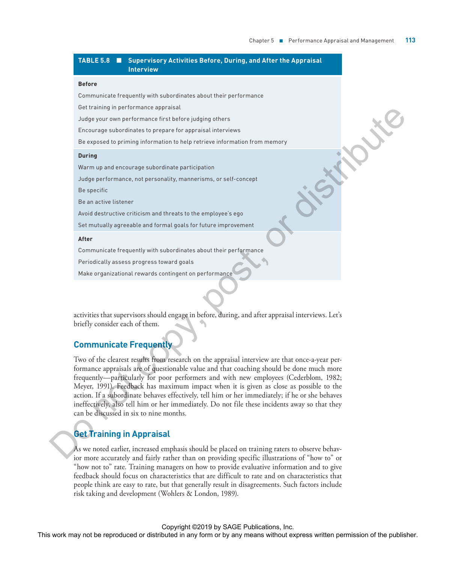### **TABLE 5.8** ■ **Supervisory Activities Before, During, and After the Appraisal Interview**

#### **Before**

Communicate frequently with subordinates about their performance

Get training in performance appraisal

Judge your own performance first before judging others

Encourage subordinates to prepare for appraisal interviews

Be exposed to priming information to help retrieve information from memory

### **During**

Warm up and encourage subordinate participation

Judge performance, not personality, mannerisms, or self-concept

Be specific

Be an active listener

Avoid destructive criticism and threats to the employee's ego

Set mutually agreeable and formal goals for future improvement

#### **After**

Communicate frequently with subordinates about their performance

Periodically assess progress toward goals

Make organizational rewards contingent on performance

activities that supervisors should engage in before, during, and after appraisal interviews. Let's briefly consider each of them.

## **Communicate Frequently**

Two of the clearest results from research on the appraisal interview are that once-a-year performance appraisals are of questionable value and that coaching should be done much more frequently—particularly for poor performers and with new employees (Cederblom, 1982; Meyer, 1991). Feedback has maximum impact when it is given as close as possible to the action. If a subordinate behaves effectively, tell him or her immediately; if he or she behaves ineffectively, also tell him or her immediately. Do not file these incidents away so that they can be discussed in six to nine months. Solar scanners are a content of the reproduced or distributed in any means when the reproduced or distributed in any means where the publisher or distributed in any means when the publisher or distributed in any means when

## **Get Training in Appraisal**

As we noted earlier, increased emphasis should be placed on training raters to observe behavior more accurately and fairly rather than on providing specific illustrations of "how to" or "how not to" rate. Training managers on how to provide evaluative information and to give feedback should focus on characteristics that are difficult to rate and on characteristics that people think are easy to rate, but that generally result in disagreements. Such factors include risk taking and development (Wohlers & London, 1989).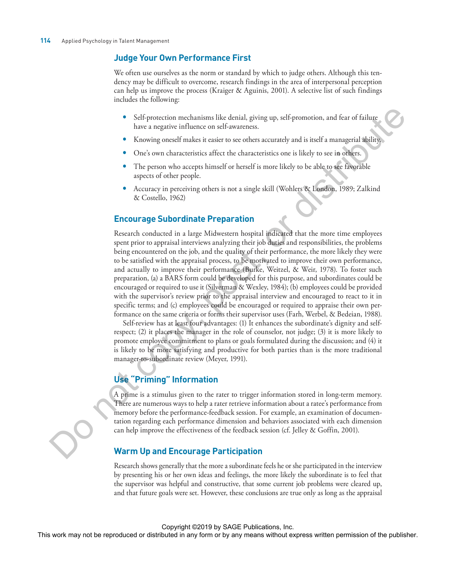## **Judge Your Own Performance First**

We often use ourselves as the norm or standard by which to judge others. Although this tendency may be difficult to overcome, research findings in the area of interpersonal perception can help us improve the process (Kraiger & Aguinis, 2001). A selective list of such findings includes the following:

- Self-protection mechanisms like denial, giving up, self-promotion, and fear of failure have a negative influence on self-awareness.
- Knowing oneself makes it easier to see others accurately and is itself a managerial ability.
- One's own characteristics affect the characteristics one is likely to see in others.
- The person who accepts himself or herself is more likely to be able to see favorable aspects of other people.
- Accuracy in perceiving others is not a single skill (Wohlers & London, 1989; Zalkind & Costello, 1962)

## **Encourage Subordinate Preparation**

Research conducted in a large Midwestern hospital indicated that the more time employees spent prior to appraisal interviews analyzing their job duties and responsibilities, the problems being encountered on the job, and the quality of their performance, the more likely they were to be satisfied with the appraisal process, to be motivated to improve their own performance, and actually to improve their performance (Burke, Weitzel, & Weir, 1978). To foster such preparation, (a) a BARS form could be developed for this purpose, and subordinates could be encouraged or required to use it (Silverman & Wexley, 1984); (b) employees could be provided with the supervisor's review prior to the appraisal interview and encouraged to react to it in specific terms; and (c) employees could be encouraged or required to appraise their own performance on the same criteria or forms their supervisor uses (Farh, Werbel, & Bedeian, 1988). This yave the procedure interesting the dentity giving up, self-goodpoint, and form of all the reproduced or distributed in any form of the reproduced in any form of the reproduced in any form of the permission of the per

Self-review has at least four advantages: (1) It enhances the subordinate's dignity and selfrespect; (2) it places the manager in the role of counselor, not judge; (3) it is more likely to promote employee commitment to plans or goals formulated during the discussion; and (4) it is likely to be more satisfying and productive for both parties than is the more traditional manager-to-subordinate review (Meyer, 1991).

## **Use "Priming" Information**

A prime is a stimulus given to the rater to trigger information stored in long-term memory. There are numerous ways to help a rater retrieve information about a ratee's performance from memory before the performance-feedback session. For example, an examination of documentation regarding each performance dimension and behaviors associated with each dimension can help improve the effectiveness of the feedback session (cf. Jelley & Goffin, 2001).

## **Warm Up and Encourage Participation**

Research shows generally that the more a subordinate feels he or she participated in the interview by presenting his or her own ideas and feelings, the more likely the subordinate is to feel that the supervisor was helpful and constructive, that some current job problems were cleared up, and that future goals were set. However, these conclusions are true only as long as the appraisal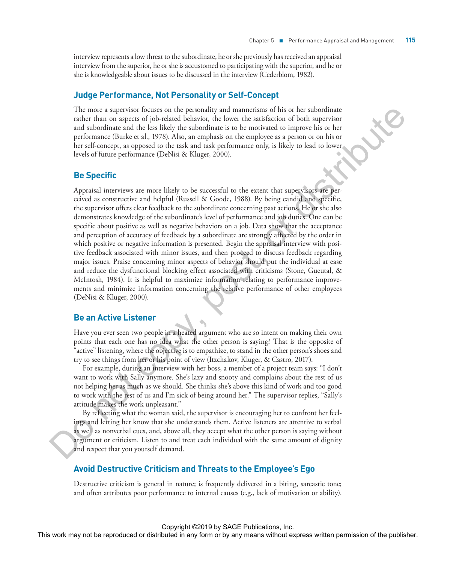interview represents a low threat to the subordinate, he or she previously has received an appraisal interview from the superior, he or she is accustomed to participating with the superior, and he or she is knowledgeable about issues to be discussed in the interview (Cederblom, 1982).

## **Judge Performance, Not Personality or Self-Concept**

The more a supervisor focuses on the personality and mannerisms of his or her subordinate rather than on aspects of job-related behavior, the lower the satisfaction of both supervisor and subordinate and the less likely the subordinate is to be motivated to improve his or her performance (Burke et al., 1978). Also, an emphasis on the employee as a person or on his or her self-concept, as opposed to the task and task performance only, is likely to lead to lower levels of future performance (DeNisi & Kluger, 2000).

## **Be Specific**

Appraisal interviews are more likely to be successful to the extent that supervisors are perceived as constructive and helpful (Russell & Goode, 1988). By being candid and specific, the supervisor offers clear feedback to the subordinate concerning past actions. He or she also demonstrates knowledge of the subordinate's level of performance and job duties. One can be specific about positive as well as negative behaviors on a job. Data show that the acceptance and perception of accuracy of feedback by a subordinate are strongly affected by the order in which positive or negative information is presented. Begin the appraisal interview with positive feedback associated with minor issues, and then proceed to discuss feedback regarding major issues. Praise concerning minor aspects of behavior should put the individual at ease and reduce the dysfunctional blocking effect associated with criticisms (Stone, Gueutal, & McIntosh, 1984). It is helpful to maximize information relating to performance improvements and minimize information concerning the relative performance of other employees (DeNisi & Kluger, 2000). The associates work may not be repressed or distributed in a better distributed in any means with the representation of the representation of the any form or by any means we represent the representation of the publisher o

## **Be an Active Listener**

Have you ever seen two people in a heated argument who are so intent on making their own points that each one has no idea what the other person is saying? That is the opposite of "active" listening, where the objective is to empathize, to stand in the other person's shoes and try to see things from her or his point of view (Itzchakov, Kluger, & Castro, 2017).

For example, during an interview with her boss, a member of a project team says: "I don't want to work with Sally anymore. She's lazy and snooty and complains about the rest of us not helping her as much as we should. She thinks she's above this kind of work and too good to work with the rest of us and I'm sick of being around her." The supervisor replies, "Sally's attitude makes the work unpleasant."

By reflecting what the woman said, the supervisor is encouraging her to confront her feelings and letting her know that she understands them. Active listeners are attentive to verbal as well as nonverbal cues, and, above all, they accept what the other person is saying without argument or criticism. Listen to and treat each individual with the same amount of dignity and respect that you yourself demand.

## **Avoid Destructive Criticism and Threats to the Employee's Ego**

Destructive criticism is general in nature; is frequently delivered in a biting, sarcastic tone; and often attributes poor performance to internal causes (e.g., lack of motivation or ability).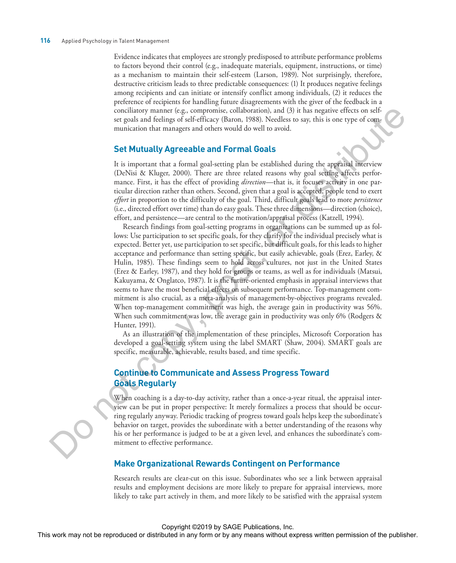Evidence indicates that employees are strongly predisposed to attribute performance problems to factors beyond their control (e.g., inadequate materials, equipment, instructions, or time) as a mechanism to maintain their self-esteem (Larson, 1989). Not surprisingly, therefore, destructive criticism leads to three predictable consequences: (1) It produces negative feelings among recipients and can initiate or intensify conflict among individuals, (2) it reduces the preference of recipients for handling future disagreements with the giver of the feedback in a conciliatory manner (e.g., compromise, collaboration), and (3) it has negative effects on selfset goals and feelings of self-efficacy (Baron, 1988). Needless to say, this is one type of communication that managers and others would do well to avoid.

## **Set Mutually Agreeable and Formal Goals**

It is important that a formal goal-setting plan be established during the appraisal interview (DeNisi & Kluger, 2000). There are three related reasons why goal setting affects performance. First, it has the effect of providing *direction*—that is, it focuses activity in one particular direction rather than others. Second, given that a goal is accepted, people tend to exert *effort* in proportion to the difficulty of the goal. Third, difficult goals lead to more *persistence* (i.e., directed effort over time) than do easy goals. These three dimensions—direction (choice), effort, and persistence—are central to the motivation/appraisal process (Katzell, 1994).

Research findings from goal-setting programs in organizations can be summed up as follows: Use participation to set specific goals, for they clarify for the individual precisely what is expected. Better yet, use participation to set specific, but difficult goals, for this leads to higher acceptance and performance than setting specific, but easily achievable, goals (Erez, Earley, & Hulin, 1985). These findings seem to hold across cultures, not just in the United States (Erez & Earley, 1987), and they hold for groups or teams, as well as for individuals (Matsui, Kakuyama, & Onglatco, 1987). It is the future-oriented emphasis in appraisal interviews that seems to have the most beneficial effects on subsequent performance. Top-management commitment is also crucial, as a meta-analysis of management-by-objectives programs revealed. When top-management commitment was high, the average gain in productivity was 56%. When such commitment was low, the average gain in productivity was only 6% (Rodgers & Hunter, 1991). orelation y may not given be reproduced or distributed in a specified or distributed in any form or distributed in any form or by any form or by any form or by any form or by any form or by any form or by any form or by a

As an illustration of the implementation of these principles, Microsoft Corporation has developed a goal-setting system using the label SMART (Shaw, 2004). SMART goals are specific, measurable, achievable, results based, and time specific.

## **Continue to Communicate and Assess Progress Toward Goals Regularly**

When coaching is a day-to-day activity, rather than a once-a-year ritual, the appraisal interview can be put in proper perspective: It merely formalizes a process that should be occurring regularly anyway. Periodic tracking of progress toward goals helps keep the subordinate's behavior on target, provides the subordinate with a better understanding of the reasons why his or her performance is judged to be at a given level, and enhances the subordinate's commitment to effective performance.

## **Make Organizational Rewards Contingent on Performance**

Research results are clear-cut on this issue. Subordinates who see a link between appraisal results and employment decisions are more likely to prepare for appraisal interviews, more likely to take part actively in them, and more likely to be satisfied with the appraisal system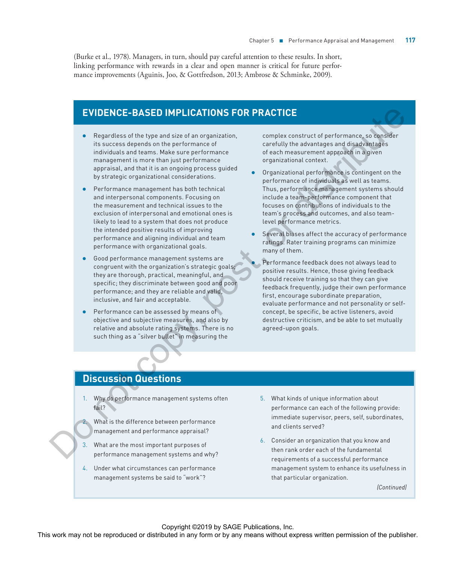(Burke et al., 1978). Managers, in turn, should pay careful attention to these results. In short, linking performance with rewards in a clear and open manner is critical for future performance improvements (Aguinis, Joo, & Gottfredson, 2013; Ambrose & Schminke, 2009).

## **EVIDENCE-BASED IMPLICATIONS FOR PRACTICE**

- Regardless of the type and size of an organization, its success depends on the performance of individuals and teams. Make sure performance management is more than just performance appraisal, and that it is an ongoing process guided by strategic organizational considerations.
- Performance management has both technical and interpersonal components. Focusing on the measurement and technical issues to the exclusion of interpersonal and emotional ones is likely to lead to a system that does not produce the intended positive results of improving performance and aligning individual and team performance with organizational goals.
- **•** Good performance management systems are congruent with the organization's strategic goals; they are thorough, practical, meaningful, and specific; they discriminate between good and poor performance; and they are reliable and valid, inclusive, and fair and acceptable.
- $\bullet$  Performance can be assessed by means of objective and subjective measures, and also by relative and absolute rating systems. There is no such thing as a "silver bullet" in measuring the

complex construct of performance, so consider carefully the advantages and disadvantages of each measurement approach in a given organizational context.

- **•** Organizational performance is contingent on the performance of individuals as well as teams. Thus, performance management systems should include a team-performance component that focuses on contributions of individuals to the team's process and outcomes, and also teamlevel performance metrics.
- Several biases affect the accuracy of performance ratings. Rater training programs can minimize many of them.
- Performance feedback does not always lead to positive results. Hence, those giving feedback should receive training so that they can give feedback frequently, judge their own performance first, encourage subordinate preparation, evaluate performance and not personality or selfconcept, be specific, be active listeners, avoid destructive criticism, and be able to set mutually agreed-upon goals. **EVIDENCE-BASED IMPLICATIONS FOR PRACTICE**<br> **BEGINERED INTERFERENCE OR DESCRIPTION CONTINUES INTERFERENCE OR DESCRIPTION CONTINUES INTERFERENCE INTERFERENCE INTERFERENCE INTERFERENCE INTERFERENCE INTERFERENCE INTERFERENCE**

## **Discussion Questions**

- 1. Why do performance management systems often fail?
	- What is the difference between performance management and performance appraisal?
- What are the most important purposes of performance management systems and why?
- 4. Under what circumstances can performance management systems be said to "work"?
- 5. What kinds of unique information about performance can each of the following provide: immediate supervisor, peers, self, subordinates, and clients served?
- 6. Consider an organization that you know and then rank order each of the fundamental requirements of a successful performance management system to enhance its usefulness in that particular organization.

*(Continued)*